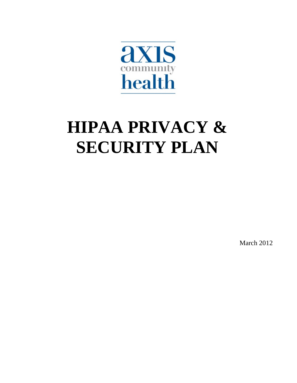

# **HIPAA PRIVACY & SECURITY PLAN**

March 2012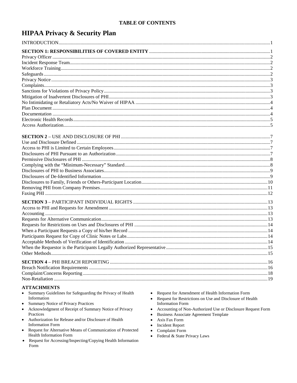## **TABLE OF CONTENTS**

# **HIPAA Privacy & Security Plan**

| <b>ATTACHMENTS</b><br>Summary Guidelines for Safeguarding the Privacy of Health<br>Request for Amendment of Health Information Form<br>Information<br>Request for Restrictions on Use and Disclosure of Health<br>Summary Notice of Privacy Practices<br><b>Information Form</b><br>$\bullet$<br>Acknowledgment of Receipt of Summary Notice of Privacy<br>Accounting of Non-Authorized Use or Disclosure Request Form<br>$\bullet$<br>Practices<br><b>Business Associate Agreement Template</b><br>$\bullet$<br>Authorization for Release and/or Disclosure of Health<br>Axis Fax Form<br>$\bullet$<br><b>Information Form</b><br><b>Incident Report</b><br>Request for Alternative Means of Communication of Protected<br><b>Complaint Form</b><br>٠ |  |
|--------------------------------------------------------------------------------------------------------------------------------------------------------------------------------------------------------------------------------------------------------------------------------------------------------------------------------------------------------------------------------------------------------------------------------------------------------------------------------------------------------------------------------------------------------------------------------------------------------------------------------------------------------------------------------------------------------------------------------------------------------|--|
|                                                                                                                                                                                                                                                                                                                                                                                                                                                                                                                                                                                                                                                                                                                                                        |  |
|                                                                                                                                                                                                                                                                                                                                                                                                                                                                                                                                                                                                                                                                                                                                                        |  |
|                                                                                                                                                                                                                                                                                                                                                                                                                                                                                                                                                                                                                                                                                                                                                        |  |
|                                                                                                                                                                                                                                                                                                                                                                                                                                                                                                                                                                                                                                                                                                                                                        |  |
|                                                                                                                                                                                                                                                                                                                                                                                                                                                                                                                                                                                                                                                                                                                                                        |  |
|                                                                                                                                                                                                                                                                                                                                                                                                                                                                                                                                                                                                                                                                                                                                                        |  |
|                                                                                                                                                                                                                                                                                                                                                                                                                                                                                                                                                                                                                                                                                                                                                        |  |
|                                                                                                                                                                                                                                                                                                                                                                                                                                                                                                                                                                                                                                                                                                                                                        |  |
|                                                                                                                                                                                                                                                                                                                                                                                                                                                                                                                                                                                                                                                                                                                                                        |  |
|                                                                                                                                                                                                                                                                                                                                                                                                                                                                                                                                                                                                                                                                                                                                                        |  |
|                                                                                                                                                                                                                                                                                                                                                                                                                                                                                                                                                                                                                                                                                                                                                        |  |
|                                                                                                                                                                                                                                                                                                                                                                                                                                                                                                                                                                                                                                                                                                                                                        |  |
|                                                                                                                                                                                                                                                                                                                                                                                                                                                                                                                                                                                                                                                                                                                                                        |  |
|                                                                                                                                                                                                                                                                                                                                                                                                                                                                                                                                                                                                                                                                                                                                                        |  |
|                                                                                                                                                                                                                                                                                                                                                                                                                                                                                                                                                                                                                                                                                                                                                        |  |
|                                                                                                                                                                                                                                                                                                                                                                                                                                                                                                                                                                                                                                                                                                                                                        |  |
|                                                                                                                                                                                                                                                                                                                                                                                                                                                                                                                                                                                                                                                                                                                                                        |  |
|                                                                                                                                                                                                                                                                                                                                                                                                                                                                                                                                                                                                                                                                                                                                                        |  |
|                                                                                                                                                                                                                                                                                                                                                                                                                                                                                                                                                                                                                                                                                                                                                        |  |
|                                                                                                                                                                                                                                                                                                                                                                                                                                                                                                                                                                                                                                                                                                                                                        |  |
|                                                                                                                                                                                                                                                                                                                                                                                                                                                                                                                                                                                                                                                                                                                                                        |  |
|                                                                                                                                                                                                                                                                                                                                                                                                                                                                                                                                                                                                                                                                                                                                                        |  |
|                                                                                                                                                                                                                                                                                                                                                                                                                                                                                                                                                                                                                                                                                                                                                        |  |
|                                                                                                                                                                                                                                                                                                                                                                                                                                                                                                                                                                                                                                                                                                                                                        |  |
|                                                                                                                                                                                                                                                                                                                                                                                                                                                                                                                                                                                                                                                                                                                                                        |  |
|                                                                                                                                                                                                                                                                                                                                                                                                                                                                                                                                                                                                                                                                                                                                                        |  |
|                                                                                                                                                                                                                                                                                                                                                                                                                                                                                                                                                                                                                                                                                                                                                        |  |
|                                                                                                                                                                                                                                                                                                                                                                                                                                                                                                                                                                                                                                                                                                                                                        |  |
|                                                                                                                                                                                                                                                                                                                                                                                                                                                                                                                                                                                                                                                                                                                                                        |  |
|                                                                                                                                                                                                                                                                                                                                                                                                                                                                                                                                                                                                                                                                                                                                                        |  |
|                                                                                                                                                                                                                                                                                                                                                                                                                                                                                                                                                                                                                                                                                                                                                        |  |
|                                                                                                                                                                                                                                                                                                                                                                                                                                                                                                                                                                                                                                                                                                                                                        |  |
|                                                                                                                                                                                                                                                                                                                                                                                                                                                                                                                                                                                                                                                                                                                                                        |  |
|                                                                                                                                                                                                                                                                                                                                                                                                                                                                                                                                                                                                                                                                                                                                                        |  |
|                                                                                                                                                                                                                                                                                                                                                                                                                                                                                                                                                                                                                                                                                                                                                        |  |
|                                                                                                                                                                                                                                                                                                                                                                                                                                                                                                                                                                                                                                                                                                                                                        |  |
|                                                                                                                                                                                                                                                                                                                                                                                                                                                                                                                                                                                                                                                                                                                                                        |  |
|                                                                                                                                                                                                                                                                                                                                                                                                                                                                                                                                                                                                                                                                                                                                                        |  |
|                                                                                                                                                                                                                                                                                                                                                                                                                                                                                                                                                                                                                                                                                                                                                        |  |
|                                                                                                                                                                                                                                                                                                                                                                                                                                                                                                                                                                                                                                                                                                                                                        |  |
|                                                                                                                                                                                                                                                                                                                                                                                                                                                                                                                                                                                                                                                                                                                                                        |  |
|                                                                                                                                                                                                                                                                                                                                                                                                                                                                                                                                                                                                                                                                                                                                                        |  |
|                                                                                                                                                                                                                                                                                                                                                                                                                                                                                                                                                                                                                                                                                                                                                        |  |
|                                                                                                                                                                                                                                                                                                                                                                                                                                                                                                                                                                                                                                                                                                                                                        |  |
|                                                                                                                                                                                                                                                                                                                                                                                                                                                                                                                                                                                                                                                                                                                                                        |  |
|                                                                                                                                                                                                                                                                                                                                                                                                                                                                                                                                                                                                                                                                                                                                                        |  |
|                                                                                                                                                                                                                                                                                                                                                                                                                                                                                                                                                                                                                                                                                                                                                        |  |
|                                                                                                                                                                                                                                                                                                                                                                                                                                                                                                                                                                                                                                                                                                                                                        |  |

- Request for Alternative Means of Communication of Protected  $\bullet$ Health Information Form
- Request for Accessing/Inspecting/Copying Health Information Form
- Federal & State Privacy Laws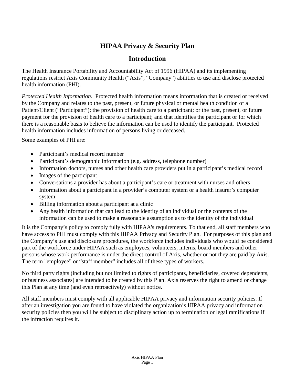# **HIPAA Privacy & Security Plan**

# **Introduction**

The Health Insurance Portability and Accountability Act of 1996 (HIPAA) and its implementing regulations restrict Axis Community Health ("Axis", "Company") abilities to use and disclose protected health information (PHI).

*Protected Health Information.* Protected health information means information that is created or received by the Company and relates to the past, present, or future physical or mental health condition of a Patient/Client ("Participant"); the provision of health care to a participant; or the past, present, or future payment for the provision of health care to a participant; and that identifies the participant or for which there is a reasonable basis to believe the information can be used to identify the participant. Protected health information includes information of persons living or deceased.

Some examples of PHI are:

- Participant's medical record number
- Participant's demographic information (e.g. address, telephone number)
- Information doctors, nurses and other health care providers put in a participant's medical record
- Images of the participant
- Conversations a provider has about a participant's care or treatment with nurses and others
- Information about a participant in a provider's computer system or a health insurer's computer system
- Billing information about a participant at a clinic
- Any health information that can lead to the identity of an individual or the contents of the information can be used to make a reasonable assumption as to the identity of the individual

It is the Company's policy to comply fully with HIPAA's requirements. To that end, all staff members who have access to PHI must comply with this HIPAA Privacy and Security Plan. For purposes of this plan and the Company's use and disclosure procedures, the workforce includes individuals who would be considered part of the workforce under HIPAA such as employees, volunteers, interns, board members and other persons whose work performance is under the direct control of Axis, whether or not they are paid by Axis. The term "employee" or "staff member" includes all of these types of workers.

No third party rights (including but not limited to rights of participants, beneficiaries, covered dependents, or business associates) are intended to be created by this Plan. Axis reserves the right to amend or change this Plan at any time (and even retroactively) without notice.

All staff members must comply with all applicable HIPAA privacy and information security policies. If after an investigation you are found to have violated the organization's HIPAA privacy and information security policies then you will be subject to disciplinary action up to termination or legal ramifications if the infraction requires it.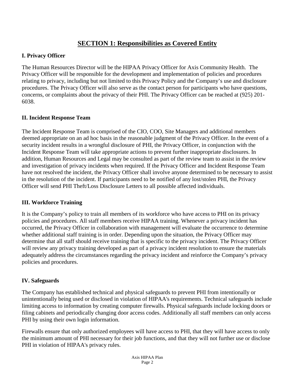# **SECTION 1: Responsibilities as Covered Entity**

# **I. Privacy Officer**

The Human Resources Director will be the HIPAA Privacy Officer for Axis Community Health. The Privacy Officer will be responsible for the development and implementation of policies and procedures relating to privacy, including but not limited to this Privacy Policy and the Company's use and disclosure procedures. The Privacy Officer will also serve as the contact person for participants who have questions, concerns, or complaints about the privacy of their PHI. The Privacy Officer can be reached at (925) 201- 6038.

# **II. Incident Response Team**

The Incident Response Team is comprised of the CIO, COO, Site Managers and additional members deemed appropriate on an ad hoc basis in the reasonable judgment of the Privacy Officer. In the event of a security incident results in a wrongful disclosure of PHI, the Privacy Officer, in conjunction with the Incident Response Team will take appropriate actions to prevent further inappropriate disclosures. In addition, Human Resources and Legal may be consulted as part of the review team to assist in the review and investigation of privacy incidents when required. If the Privacy Officer and Incident Response Team have not resolved the incident, the Privacy Officer shall involve anyone determined to be necessary to assist in the resolution of the incident. If participants need to be notified of any lost/stolen PHI, the Privacy Officer will send PHI Theft/Loss Disclosure Letters to all possible affected individuals.

# **III. Workforce Training**

It is the Company's policy to train all members of its workforce who have access to PHI on its privacy policies and procedures. All staff members receive HIPAA training. Whenever a privacy incident has occurred, the Privacy Officer in collaboration with management will evaluate the occurrence to determine whether additional staff training is in order. Depending upon the situation, the Privacy Officer may determine that all staff should receive training that is specific to the privacy incident. The Privacy Officer will review any privacy training developed as part of a privacy incident resolution to ensure the materials adequately address the circumstances regarding the privacy incident and reinforce the Company's privacy policies and procedures.

# **IV. Safeguards**

The Company has established technical and physical safeguards to prevent PHI from intentionally or unintentionally being used or disclosed in violation of HIPAA's requirements. Technical safeguards include limiting access to information by creating computer firewalls. Physical safeguards include locking doors or filing cabinets and periodically changing door access codes. Additionally all staff members can only access PHI by using their own login information.

Firewalls ensure that only authorized employees will have access to PHI, that they will have access to only the minimum amount of PHI necessary for their job functions, and that they will not further use or disclose PHI in violation of HIPAA's privacy rules.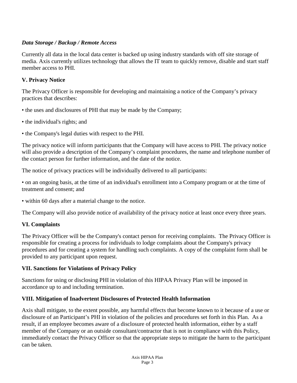# *Data Storage / Backup / Remote Access*

Currently all data in the local data center is backed up using industry standards with off site storage of media. Axis currently utilizes technology that allows the IT team to quickly remove, disable and start staff member access to PHI.

# **V. Privacy Notice**

The Privacy Officer is responsible for developing and maintaining a notice of the Company's privacy practices that describes:

- the uses and disclosures of PHI that may be made by the Company;
- the individual's rights; and
- the Company's legal duties with respect to the PHI.

The privacy notice will inform participants that the Company will have access to PHI. The privacy notice will also provide a description of the Company's complaint procedures, the name and telephone number of the contact person for further information, and the date of the notice.

The notice of privacy practices will be individually delivered to all participants:

• on an ongoing basis, at the time of an individual's enrollment into a Company program or at the time of treatment and consent; and

• within 60 days after a material change to the notice.

The Company will also provide notice of availability of the privacy notice at least once every three years.

# **VI. Complaints**

The Privacy Officer will be the Company's contact person for receiving complaints. The Privacy Officer is responsible for creating a process for individuals to lodge complaints about the Company's privacy procedures and for creating a system for handling such complaints. A copy of the complaint form shall be provided to any participant upon request.

# **VII. Sanctions for Violations of Privacy Policy**

Sanctions for using or disclosing PHI in violation of this HIPAA Privacy Plan will be imposed in accordance up to and including termination.

# **VIII. Mitigation of Inadvertent Disclosures of Protected Health Information**

Axis shall mitigate, to the extent possible, any harmful effects that become known to it because of a use or disclosure of an Participant's PHI in violation of the policies and procedures set forth in this Plan. As a result, if an employee becomes aware of a disclosure of protected health information, either by a staff member of the Company or an outside consultant/contractor that is not in compliance with this Policy, immediately contact the Privacy Officer so that the appropriate steps to mitigate the harm to the participant can be taken.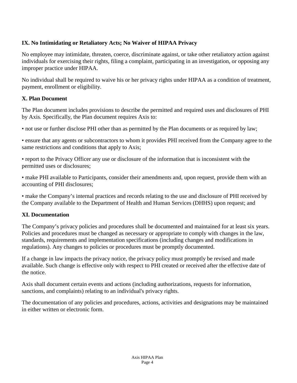# **IX. No Intimidating or Retaliatory Acts; No Waiver of HIPAA Privacy**

No employee may intimidate, threaten, coerce, discriminate against, or take other retaliatory action against individuals for exercising their rights, filing a complaint, participating in an investigation, or opposing any improper practice under HIPAA.

No individual shall be required to waive his or her privacy rights under HIPAA as a condition of treatment, payment, enrollment or eligibility.

# **X. Plan Document**

The Plan document includes provisions to describe the permitted and required uses and disclosures of PHI by Axis. Specifically, the Plan document requires Axis to:

• not use or further disclose PHI other than as permitted by the Plan documents or as required by law;

• ensure that any agents or subcontractors to whom it provides PHI received from the Company agree to the same restrictions and conditions that apply to Axis;

• report to the Privacy Officer any use or disclosure of the information that is inconsistent with the permitted uses or disclosures;

• make PHI available to Participants, consider their amendments and, upon request, provide them with an accounting of PHI disclosures;

• make the Company's internal practices and records relating to the use and disclosure of PHI received by the Company available to the Department of Health and Human Services (DHHS) upon request; and

# **XI. Documentation**

The Company's privacy policies and procedures shall be documented and maintained for at least six years. Policies and procedures must be changed as necessary or appropriate to comply with changes in the law, standards, requirements and implementation specifications (including changes and modifications in regulations). Any changes to policies or procedures must be promptly documented.

If a change in law impacts the privacy notice, the privacy policy must promptly be revised and made available. Such change is effective only with respect to PHI created or received after the effective date of the notice.

Axis shall document certain events and actions (including authorizations, requests for information, sanctions, and complaints) relating to an individual's privacy rights.

The documentation of any policies and procedures, actions, activities and designations may be maintained in either written or electronic form.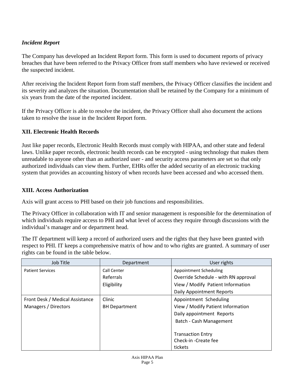# *Incident Report*

The Company has developed an Incident Report form. This form is used to document reports of privacy breaches that have been referred to the Privacy Officer from staff members who have reviewed or received the suspected incident.

After receiving the Incident Report form from staff members, the Privacy Officer classifies the incident and its severity and analyzes the situation. Documentation shall be retained by the Company for a minimum of six years from the date of the reported incident.

If the Privacy Officer is able to resolve the incident, the Privacy Officer shall also document the actions taken to resolve the issue in the Incident Report form.

# **XII. Electronic Health Records**

Just like paper records, Electronic Health Records must comply with HIPAA, and other state and federal laws. Unlike paper records, electronic health records can be encrypted - using technology that makes them unreadable to anyone other than an authorized user - and security access parameters are set so that only authorized individuals can view them. Further, EHRs offer the added security of an electronic tracking system that provides an accounting history of when records have been accessed and who accessed them.

## **XIII. Access Authorization**

Axis will grant access to PHI based on their job functions and responsibilities.

The Privacy Officer in collaboration with IT and senior management is responsible for the determination of which individuals require access to PHI and what level of access they require through discussions with the individual's manager and or department head.

The IT department will keep a record of authorized users and the rights that they have been granted with respect to PHI. IT keeps a comprehensive matrix of how and to who rights are granted. A summary of user rights can be found in the table below.

| Job Title                       | Department           | User rights                          |
|---------------------------------|----------------------|--------------------------------------|
| <b>Patient Services</b>         | Call Center          | Appointment Scheduling               |
|                                 | Referrals            | Override Schedule - with RN approval |
|                                 | Eligibility          | View / Modify Patient Information    |
|                                 |                      | <b>Daily Appointment Reports</b>     |
| Front Desk / Medical Assistance | Clinic               | Appointment Scheduling               |
| Managers / Directors            | <b>BH Department</b> | View / Modify Patient Information    |
|                                 |                      | Daily appointment Reports            |
|                                 |                      | Batch - Cash Management              |
|                                 |                      | <b>Transaction Entry</b>             |
|                                 |                      | Check-in -Create fee                 |
|                                 |                      | tickets                              |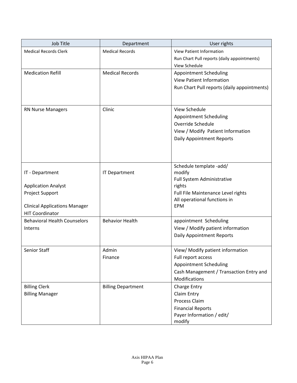| Job Title                            | Department                | User rights                                 |
|--------------------------------------|---------------------------|---------------------------------------------|
| <b>Medical Records Clerk</b>         | <b>Medical Records</b>    | <b>View Patient Information</b>             |
|                                      |                           | Run Chart Pull reports (daily appointments) |
|                                      |                           | View Schedule                               |
| <b>Medication Refill</b>             | <b>Medical Records</b>    | <b>Appointment Scheduling</b>               |
|                                      |                           | <b>View Patient Information</b>             |
|                                      |                           | Run Chart Pull reports (daily appointments) |
|                                      |                           |                                             |
|                                      |                           |                                             |
| <b>RN Nurse Managers</b>             | Clinic                    | <b>View Schedule</b>                        |
|                                      |                           | Appointment Scheduling                      |
|                                      |                           | Override Schedule                           |
|                                      |                           | View / Modify Patient Information           |
|                                      |                           | Daily Appointment Reports                   |
|                                      |                           |                                             |
|                                      |                           |                                             |
|                                      |                           |                                             |
| IT - Department                      | <b>IT Department</b>      | Schedule template -add/<br>modify           |
|                                      |                           | Full System Administrative                  |
| <b>Application Analyst</b>           |                           | rights                                      |
| Project Support                      |                           | Full File Maintenance Level rights          |
|                                      |                           | All operational functions in                |
| <b>Clinical Applications Manager</b> |                           | EPM                                         |
| <b>HIT Coordinator</b>               |                           |                                             |
| <b>Behavioral Health Counselors</b>  | <b>Behavior Health</b>    | appointment Scheduling                      |
| Interns                              |                           | View / Modify patient information           |
|                                      |                           | Daily Appointment Reports                   |
|                                      |                           |                                             |
| Senior Staff                         | Admin                     | View/ Modify patient information            |
|                                      | Finance                   | Full report access                          |
|                                      |                           | <b>Appointment Scheduling</b>               |
|                                      |                           | Cash Management / Transaction Entry and     |
|                                      |                           | Modifications                               |
| <b>Billing Clerk</b>                 | <b>Billing Department</b> | Charge Entry                                |
| <b>Billing Manager</b>               |                           | Claim Entry                                 |
|                                      |                           | Process Claim                               |
|                                      |                           | <b>Financial Reports</b>                    |
|                                      |                           | Payer Information / edit/                   |
|                                      |                           | modify                                      |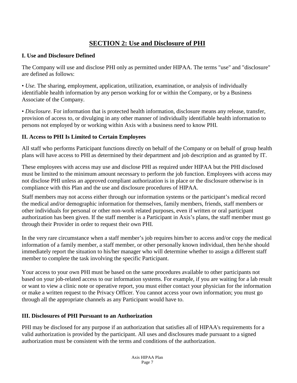# **SECTION 2: Use and Disclosure of PHI**

# **I. Use and Disclosure Defined**

The Company will use and disclose PHI only as permitted under HIPAA. The terms "use" and "disclosure" are defined as follows:

• *Use.* The sharing, employment, application, utilization, examination, or analysis of individually identifiable health information by any person working for or within the Company, or by a Business Associate of the Company.

• *Disclosure.* For information that is protected health information, disclosure means any release, transfer, provision of access to, or divulging in any other manner of individually identifiable health information to persons not employed by or working within Axis with a business need to know PHI.

# **II. Access to PHI Is Limited to Certain Employees**

All staff who performs Participant functions directly on behalf of the Company or on behalf of group health plans will have access to PHI as determined by their department and job description and as granted by IT.

These employees with access may use and disclose PHI as required under HIPAA but the PHI disclosed must be limited to the minimum amount necessary to perform the job function. Employees with access may not disclose PHI unless an approved compliant authorization is in place or the disclosure otherwise is in compliance with this Plan and the use and disclosure procedures of HIPAA.

Staff members may not access either through our information systems or the participant's medical record the medical and/or demographic information for themselves, family members, friends, staff members or other individuals for personal or other non-work related purposes, even if written or oral participant authorization has been given. If the staff member is a Participant in Axis's plans, the staff member must go through their Provider in order to request their own PHI.

In the very rare circumstance when a staff member's job requires him/her to access and/or copy the medical information of a family member, a staff member, or other personally known individual, then he/she should immediately report the situation to his/her manager who will determine whether to assign a different staff member to complete the task involving the specific Participant.

Your access to your own PHI must be based on the same procedures available to other participants not based on your job-related access to our information systems. For example, if you are waiting for a lab result or want to view a clinic note or operative report, you must either contact your physician for the information or make a written request to the Privacy Officer. You cannot access your own information; you must go through all the appropriate channels as any Participant would have to.

# **III. Disclosures of PHI Pursuant to an Authorization**

PHI may be disclosed for any purpose if an authorization that satisfies all of HIPAA's requirements for a valid authorization is provided by the participant. All uses and disclosures made pursuant to a signed authorization must be consistent with the terms and conditions of the authorization.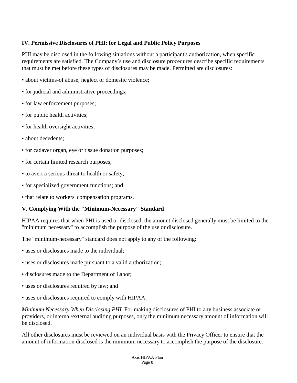# **IV. Permissive Disclosures of PHI: for Legal and Public Policy Purposes**

PHI may be disclosed in the following situations without a participant's authorization, when specific requirements are satisfied. The Company's use and disclosure procedures describe specific requirements that must be met before these types of disclosures may be made. Permitted are disclosures:

- about victims-of abuse, neglect or domestic violence;
- for judicial and administrative proceedings;
- for law enforcement purposes;
- for public health activities;
- for health oversight activities;
- about decedents;
- for cadaver organ, eye or tissue donation purposes;
- for certain limited research purposes;
- to avert a serious threat to health or safety;
- for specialized government functions; and
- that relate to workers' compensation programs.

# **V. Complying With the "Minimum-Necessary" Standard**

HIPAA requires that when PHI is used or disclosed, the amount disclosed generally must be limited to the "minimum necessary" to accomplish the purpose of the use or disclosure.

The "minimum-necessary" standard does not apply to any of the following:

- uses or disclosures made to the individual;
- uses or disclosures made pursuant to a valid authorization;
- disclosures made to the Department of Labor;
- uses or disclosures required by law; and
- uses or disclosures required to comply with HIPAA.

*Minimum Necessary When Disclosing PHI.* For making disclosures of PHI to any business associate or providers, or internal/external auditing purposes, only the minimum necessary amount of information will be disclosed.

All other disclosures must be reviewed on an individual basis with the Privacy Officer to ensure that the amount of information disclosed is the minimum necessary to accomplish the purpose of the disclosure.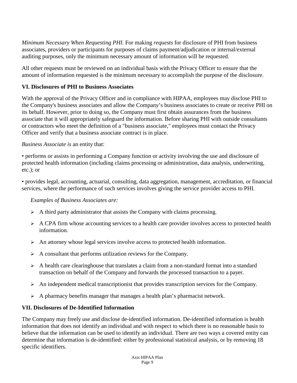*Minimum Necessary When Requesting PHI.* For making *requests* for disclosure of PHI from business associates, providers or participants for purposes of claims payment/adjudication or internal/external auditing purposes, only the minimum necessary amount of information will be requested.

All other requests must be reviewed on an individual basis with the Privacy Officer to ensure that the amount of information requested is the minimum necessary to accomplish the purpose of the disclosure.

# **VI. Disclosures of PHI to Business Associates**

With the approval of the Privacy Officer and in compliance with HIPAA, employees may disclose PHI to the Company's business associates and allow the Company's business associates to create or receive PHI on its behalf. However, prior to doing so, the Company must first obtain assurances from the business associate that it will appropriately safeguard the information. Before sharing PHI with outside consultants or contractors who meet the definition of a "business associate," employees must contact the Privacy Officer and verify that a business associate contract is in place.

# *Business Associate is* an entity that:

• performs or assists in performing a Company function or activity involving the use and disclosure of protected health information (including claims processing or administration, data analysis, underwriting, etc.); or

• provides legal, accounting, actuarial, consulting, data aggregation, management, accreditation, or financial services, where the performance of such services involves giving the service provider access to PHI.

## *Examples of Business Associates are:*

- $\triangleright$  A third party administrator that assists the Company with claims processing.
- $\triangleright$  A CPA firm whose accounting services to a health care provider involves access to protected health information.
- $\triangleright$  An attorney whose legal services involve access to protected health information.
- $\triangleright$  A consultant that performs utilization reviews for the Company.
- $\triangleright$  A health care clearinghouse that translates a claim from a non-standard format into a standard transaction on behalf of the Company and forwards the processed transaction to a payer.
- $\triangleright$  An independent medical transcriptionist that provides transcription services for the Company.
- $\triangleright$  A pharmacy benefits manager that manages a health plan's pharmacist network.

## **VII. Disclosures of De-Identified Information**

The Company may freely use and disclose de-identified information. De-identified information is health information that does not identify an individual and with respect to which there is no reasonable basis to believe that the information can be used to identify an individual. There are two ways a covered entity can determine that information is de-identified: either by professional statistical analysis, or by removing 18 specific identifiers.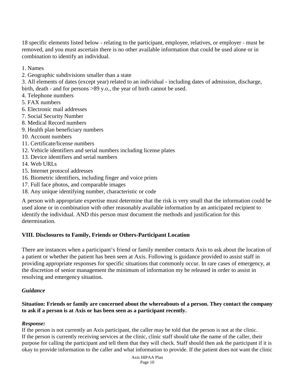18 specific elements listed below - relating to the participant, employee, relatives, or employer - must be removed, and you must ascertain there is no other available information that could be used alone or in combination to identify an individual.

- 1. Names
- 2. Geographic subdivisions smaller than a state

3. All elements of dates (except year) related to an individual - including dates of admission, discharge, birth, death - and for persons >89 y.o., the year of birth cannot be used.

- 4. Telephone numbers
- 5. FAX numbers
- 6. Electronic mail addresses
- 7. Social Security Number
- 8. Medical Record numbers
- 9. Health plan beneficiary numbers
- 10. Account numbers
- 11. Certificate/license numbers
- 12. Vehicle identifiers and serial numbers including license plates
- 13. Device identifiers and serial numbers
- 14. Web URLs
- 15. Internet protocol addresses
- 16. Biometric identifiers, including finger and voice prints
- 17. Full face photos, and comparable images
- 18. Any unique identifying number, characteristic or code

A person with appropriate expertise must determine that the risk is very small that the information could be used alone or in combination with other reasonably available information by an anticipated recipient to identify the individual. AND this person must document the methods and justification for this determination.

## **VIII. Disclosures to Family, Friends or Others-Participant Location**

There are instances when a participant's friend or family member contacts Axis to ask about the location of a patient or whether the patient has been seen at Axis. Following is guidance provided to assist staff in providing appropriate responses for specific situations that commonly occur. In rare cases of emergency, at the discretion of senior management the minimum of information my be released in order to assist in resolving and emergency situation.

## *Guidance*

## **Situation: Friends or family are concerned about the whereabouts of a person. They contact the company to ask if a person is at Axis or has been seen as a participant recently.**

## *Response:*

If the person is not currently an Axis participant, the caller may be told that the person is not at the clinic. If the person is currently receiving services at the clinic, clinic staff should take the name of the caller, their purpose for calling the participant and tell them that they will check. Staff should then ask the participant if it is okay to provide information to the caller and what information to provide. If the patient does not want the clinic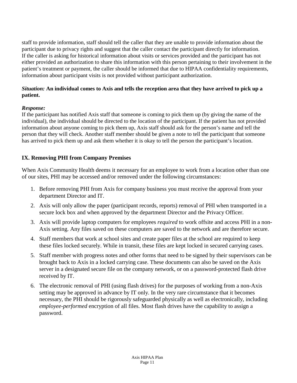staff to provide information, staff should tell the caller that they are unable to provide information about the participant due to privacy rights and suggest that the caller contact the participant directly for information. If the caller is asking for historical information about visits or services provided and the participant has not either provided an authorization to share this information with this person pertaining to their involvement in the patient's treatment or payment, the caller should be informed that due to HIPAA confidentiality requirements, information about participant visits is not provided without participant authorization.

## *Situation:* **An individual comes to Axis and tells the reception area that they have arrived to pick up a patient.**

## *Response:*

If the participant has notified Axis staff that someone is coming to pick them up (by giving the name of the individual), the individual should be directed to the location of the participant. If the patient has not provided information about anyone coming to pick them up, Axis staff should ask for the person's name and tell the person that they will check. Another staff member should be given a note to tell the participant that someone has arrived to pick them up and ask them whether it is okay to tell the person the participant's location.

# **IX. Removing PHI from Company Premises**

When Axis Community Health deems it necessary for an employee to work from a location other than one of our sites, PHI may be accessed and/or removed under the following circumstances:

- 1. Before removing PHI from Axis for company business you must receive the approval from your department Director and IT.
- 2. Axis will only allow the paper (participant records, reports) removal of PHI when transported in a secure lock box and when approved by the department Director and the Privacy Officer.
- 3. Axis will provide laptop computers for employees *required* to work offsite and access PHI in a non-Axis setting. Any files saved on these computers are saved to the network and are therefore secure.
- 4. Staff members that work at school sites and create paper files at the school are required to keep these files locked securely. While in transit, these files are kept locked in secured carrying cases.
- 5. Staff member with progress notes and other forms that need to be signed by their supervisors can be brought back to Axis in a locked carrying case. These documents can also be saved on the Axis server in a designated secure file on the company network, or on a password-protected flash drive received by IT.
- 6. The electronic removal of PHI (using flash drives) for the purposes of working from a non-Axis setting may be approved in advance by IT only. In the very rare circumstance that it becomes necessary, the PHI should be rigorously safeguarded physically as well as electronically, including *employee-performed* encryption of all files. Most flash drives have the capability to assign a password.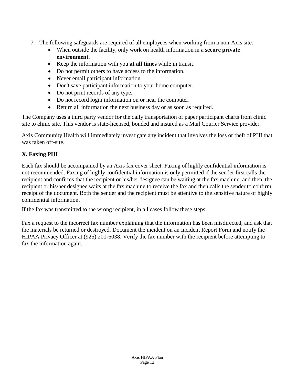- 7. The following safeguards are required of all employees when working from a non-Axis site:
	- When outside the facility, only work on health information in a **secure private environment.**
	- Keep the information with you **at all times** while in transit.
	- Do not permit others to have access to the information.
	- Never email participant information.
	- Don't save participant information to your home computer.
	- Do not print records of any type.
	- Do not record login information on or near the computer.
	- Return all information the next business day or as soon as required.

The Company uses a third party vendor for the daily transportation of paper participant charts from clinic site to clinic site. This vendor is state-licensed, bonded and insured as a Mail Courier Service provider.

Axis Community Health will immediately investigate any incident that involves the loss or theft of PHI that was taken off-site.

# **X. Faxing PHI**

Each fax should be accompanied by an Axis fax cover sheet. Faxing of highly confidential information is not recommended. Faxing of highly confidential information is only permitted if the sender first calls the recipient and confirms that the recipient or his/her designee can be waiting at the fax machine, and then, the recipient or his/her designee waits at the fax machine to receive the fax and then calls the sender to confirm receipt of the document. Both the sender and the recipient must be attentive to the sensitive nature of highly confidential information.

If the fax was transmitted to the wrong recipient, in all cases follow these steps:

Fax a request to the incorrect fax number explaining that the information has been misdirected, and ask that the materials be returned or destroyed. Document the incident on an Incident Report Form and notify the HIPAA Privacy Officer at (925) 201-6038. Verify the fax number with the recipient before attempting to fax the information again.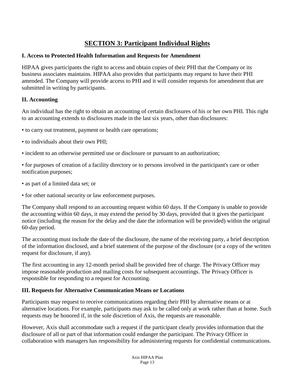# **SECTION 3: Participant Individual Rights**

# **I. Access to Protected Health Information and Requests for Amendment**

HIPAA gives participants the right to access and obtain copies of their PHI that the Company or its business associates maintains. HIPAA also provides that participants may request to have their PHI amended. The Company will provide access to PHI and it will consider requests for amendment that are submitted in writing by participants.

# **II. Accounting**

An individual has the right to obtain an accounting of certain disclosures of his or her own PHI. This right to an accounting extends to disclosures made in the last six years, other than disclosures:

- to carry out treatment, payment or health care operations;
- to individuals about their own PHI;
- incident to an otherwise permitted use or disclosure or pursuant to an authorization;
- for purposes of creation of a facility directory or to persons involved in the participant's care or other notification purposes;
- as part of a limited data set; or
- for other national security or law enforcement purposes.

The Company shall respond to an accounting request within 60 days. If the Company is unable to provide the accounting within 60 days, it may extend the period by 30 days, provided that it gives the participant notice (including the reason for the delay and the date the information will be provided) within the original 60-day period.

The accounting must include the date of the disclosure, the name of the receiving party, a brief description of the information disclosed, and a brief statement of the purpose of the disclosure (or a copy of the written request for disclosure, if any).

The first accounting in any 12-month period shall be provided free of charge. The Privacy Officer may impose reasonable production and mailing costs for subsequent accountings. The Privacy Officer is responsible for responding to a request for Accounting.

# **III. Requests for Alternative Communication Means or Locations**

Participants may request to receive communications regarding their PHI by alternative means or at alternative locations. For example, participants may ask to be called only at work rather than at home. Such requests may be honored if, in the sole discretion of Axis, the requests are reasonable.

However, Axis shall accommodate such a request if the participant clearly provides information that the disclosure of all or part of that information could endanger the participant. The Privacy Officer in collaboration with managers has responsibility for administering requests for confidential communications.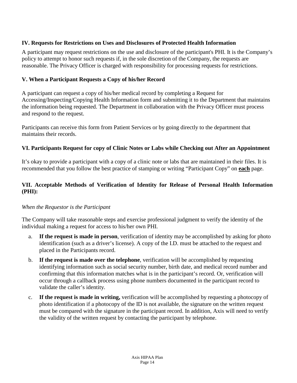# **IV. Requests for Restrictions on Uses and Disclosures of Protected Health Information**

A participant may request restrictions on the use and disclosure of the participant's PHI. It is the Company's policy to attempt to honor such requests if, in the sole discretion of the Company, the requests are reasonable. The Privacy Officer is charged with responsibility for processing requests for restrictions.

# **V. When a Participant Requests a Copy of his/her Record**

A participant can request a copy of his/her medical record by completing a Request for Accessing/Inspecting/Copying Health Information form and submitting it to the Department that maintains the information being requested. The Department in collaboration with the Privacy Officer must process and respond to the request.

Participants can receive this form from Patient Services or by going directly to the department that maintains their records.

# **VI. Participants Request for copy of Clinic Notes or Labs while Checking out After an Appointment**

It's okay to provide a participant with a copy of a clinic note or labs that are maintained in their files. It is recommended that you follow the best practice of stamping or writing "Participant Copy" on **each** page.

# **VII. Acceptable Methods of Verification of Identity for Release of Personal Health Information (PHI):**

## *When the Requestor is the Participant*

The Company will take reasonable steps and exercise professional judgment to verify the identity of the individual making a request for access to his/her own PHI.

- a. **If the request is made in person**, verification of identity may be accomplished by asking for photo identification (such as a driver's license). A copy of the I.D. must be attached to the request and placed in the Participants record.
- b. **If the request is made over the telephone**, verification will be accomplished by requesting identifying information such as social security number, birth date, and medical record number and confirming that this information matches what is in the participant's record. Or, verification will occur through a callback process using phone numbers documented in the participant record to validate the caller's identity.
- c. **If the request is made in writing,** verification will be accomplished by requesting a photocopy of photo identification if a photocopy of the ID is not available, the signature on the written request must be compared with the signature in the participant record. In addition, Axis will need to verify the validity of the written request by contacting the participant by telephone.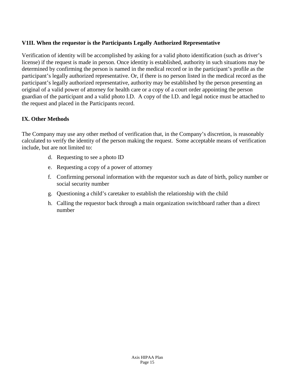# **V1II. When the requestor is the Participants Legally Authorized Representative**

Verification of identity will be accomplished by asking for a valid photo identification (such as driver's license) if the request is made in person. Once identity is established, authority in such situations may be determined by confirming the person is named in the medical record or in the participant's profile as the participant's legally authorized representative. Or, if there is no person listed in the medical record as the participant's legally authorized representative, authority may be established by the person presenting an original of a valid power of attorney for health care or a copy of a court order appointing the person guardian of the participant and a valid photo I.D. A copy of the I.D. and legal notice must be attached to the request and placed in the Participants record.

# **IX. Other Methods**

The Company may use any other method of verification that, in the Company's discretion, is reasonably calculated to verify the identity of the person making the request. Some acceptable means of verification include, but are not limited to:

- d. Requesting to see a photo ID
- e. Requesting a copy of a power of attorney
- f. Confirming personal information with the requestor such as date of birth, policy number or social security number
- g. Questioning a child's caretaker to establish the relationship with the child
- h. Calling the requestor back through a main organization switchboard rather than a direct number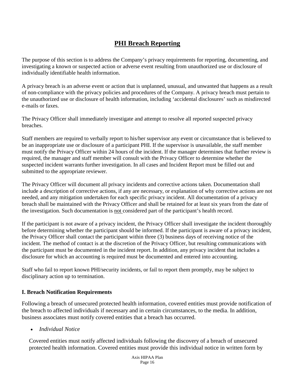# **PHI Breach Reporting**

The purpose of this section is to address the Company's privacy requirements for reporting, documenting, and investigating a known or suspected action or adverse event resulting from unauthorized use or disclosure of individually identifiable health information.

A privacy breach is an adverse event or action that is unplanned, unusual, and unwanted that happens as a result of non-compliance with the privacy policies and procedures of the Company. A privacy breach must pertain to the unauthorized use or disclosure of health information, including 'accidental disclosures' such as misdirected e-mails or faxes.

The Privacy Officer shall immediately investigate and attempt to resolve all reported suspected privacy breaches.

Staff members are required to verbally report to his/her supervisor any event or circumstance that is believed to be an inappropriate use or disclosure of a participant PHI. If the supervisor is unavailable, the staff member must notify the Privacy Officer within 24 hours of the incident. If the manager determines that further review is required, the manager and staff member will consult with the Privacy Officer to determine whether the suspected incident warrants further investigation. In all cases and Incident Report must be filled out and submitted to the appropriate reviewer.

The Privacy Officer will document all privacy incidents and corrective actions taken. Documentation shall include a description of corrective actions, if any are necessary, or explanation of why corrective actions are not needed, and any mitigation undertaken for each specific privacy incident. All documentation of a privacy breach shall be maintained with the Privacy Officer and shall be retained for at least six years from the date of the investigation. Such documentation is not considered part of the participant's health record.

If the participant is not aware of a privacy incident, the Privacy Officer shall investigate the incident thoroughly before determining whether the participant should be informed. If the participant is aware of a privacy incident, the Privacy Officer shall contact the participant within three (3) business days of receiving notice of the incident. The method of contact is at the discretion of the Privacy Officer, but resulting communications with the participant must be documented in the incident report. In addition, any privacy incident that includes a disclosure for which an accounting is required must be documented and entered into accounting.

Staff who fail to report known PHI/security incidents, or fail to report them promptly, may be subject to disciplinary action up to termination.

## **I. Breach Notification Requirements**

Following a breach of unsecured protected health information, covered entities must provide notification of the breach to affected individuals if necessary and in certain circumstances, to the media. In addition, business associates must notify covered entities that a breach has occurred.

• *Individual Notice*

Covered entities must notify affected individuals following the discovery of a breach of unsecured protected health information. Covered entities must provide this individual notice in written form by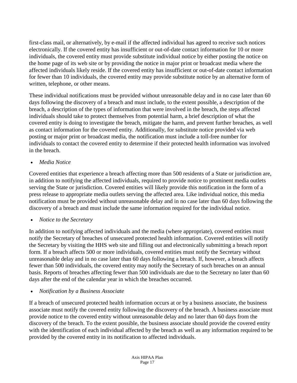first-class mail, or alternatively, by e-mail if the affected individual has agreed to receive such notices electronically. If the covered entity has insufficient or out-of-date contact information for 10 or more individuals, the covered entity must provide substitute individual notice by either posting the notice on the home page of its web site or by providing the notice in major print or broadcast media where the affected individuals likely reside. If the covered entity has insufficient or out-of-date contact information for fewer than 10 individuals, the covered entity may provide substitute notice by an alternative form of written, telephone, or other means.

These individual notifications must be provided without unreasonable delay and in no case later than 60 days following the discovery of a breach and must include, to the extent possible, a description of the breach, a description of the types of information that were involved in the breach, the steps affected individuals should take to protect themselves from potential harm, a brief description of what the covered entity is doing to investigate the breach, mitigate the harm, and prevent further breaches, as well as contact information for the covered entity. Additionally, for substitute notice provided via web posting or major print or broadcast media, the notification must include a toll-free number for individuals to contact the covered entity to determine if their protected health information was involved in the breach.

• *Media Notice*

Covered entities that experience a breach affecting more than 500 residents of a State or jurisdiction are, in addition to notifying the affected individuals, required to provide notice to prominent media outlets serving the State or jurisdiction. Covered entities will likely provide this notification in the form of a press release to appropriate media outlets serving the affected area. Like individual notice, this media notification must be provided without unreasonable delay and in no case later than 60 days following the discovery of a breach and must include the same information required for the individual notice.

• *Notice to the Secretary*

In addition to notifying affected individuals and the media (where appropriate), covered entities must notify the Secretary of breaches of unsecured protected health information. Covered entities will notify the Secretary by visiting the HHS web site and filling out and electronically submitting a breach report form. If a breach affects 500 or more individuals, covered entities must notify the Secretary without unreasonable delay and in no case later than 60 days following a breach. If, however, a breach affects fewer than 500 individuals, the covered entity may notify the Secretary of such breaches on an annual basis. Reports of breaches affecting fewer than 500 individuals are due to the Secretary no later than 60 days after the end of the calendar year in which the breaches occurred.

• *Notification by a Business Associate*

If a breach of unsecured protected health information occurs at or by a business associate, the business associate must notify the covered entity following the discovery of the breach. A business associate must provide notice to the covered entity without unreasonable delay and no later than 60 days from the discovery of the breach. To the extent possible, the business associate should provide the covered entity with the identification of each individual affected by the breach as well as any information required to be provided by the covered entity in its notification to affected individuals.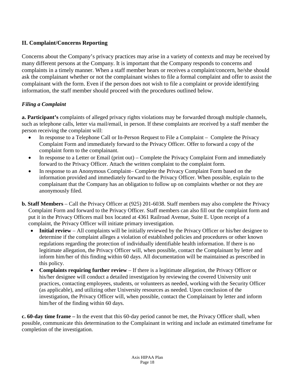# **II. Complaint/Concerns Reporting**

Concerns about the Company's privacy practices may arise in a variety of contexts and may be received by many different persons at the Company. It is important that the Company responds to concerns and complaints in a timely manner. When a staff member hears or receives a complaint/concern, he/she should ask the complainant whether or not the complainant wishes to file a formal complaint and offer to assist the complainant with the form. Even if the person does not wish to file a complaint or provide identifying information, the staff member should proceed with the procedures outlined below.

# *Filing a Complaint*

**a. Participant's** complaints of alleged privacy rights violations may be forwarded through multiple channels, such as telephone calls, letter via mail/email, in person. If these complaints are received by a staff member the person receiving the complaint will:

- In response to a Telephone Call or In-Person Request to File a Complaint Complete the Privacy Complaint Form and immediately forward to the Privacy Officer. Offer to forward a copy of the complaint form to the complainant.
- In response to a Letter or Email (print out) Complete the Privacy Complaint Form and immediately forward to the Privacy Officer. Attach the written complaint to the complaint form.
- In response to an Anonymous Complaint– Complete the Privacy Complaint Form based on the information provided and immediately forward to the Privacy Officer. When possible, explain to the complainant that the Company has an obligation to follow up on complaints whether or not they are anonymously filed.
- **b. Staff Members** Call the Privacy Officer at (925) 201-6038. Staff members may also complete the Privacy Complaint Form and forward to the Privacy Officer. Staff members can also fill out the complaint form and put it in the Privacy Officers mail box located at 4361 Railroad Avenue, Suite E. Upon receipt of a complaint, the Privacy Officer will initiate primary investigation.
	- **Initial review**  All complaints will be initially reviewed by the Privacy Officer or his/her designee to determine if the complaint alleges a violation of established policies and procedures or other known regulations regarding the protection of individually identifiable health information. If there is no legitimate allegation, the Privacy Officer will, when possible, contact the Complainant by letter and inform him/her of this finding within 60 days. All documentation will be maintained as prescribed in this policy.
	- **Complaints requiring further review**  If there is a legitimate allegation, the Privacy Officer or his/her designee will conduct a detailed investigation by reviewing the covered University unit practices, contacting employees, students, or volunteers as needed, working with the Security Officer (as applicable), and utilizing other University resources as needed. Upon conclusion of the investigation, the Privacy Officer will, when possible, contact the Complainant by letter and inform him/her of the finding within 60 days.

**c. 60-day time frame –** In the event that this 60-day period cannot be met, the Privacy Officer shall, when possible, communicate this determination to the Complainant in writing and include an estimated timeframe for completion of the investigation.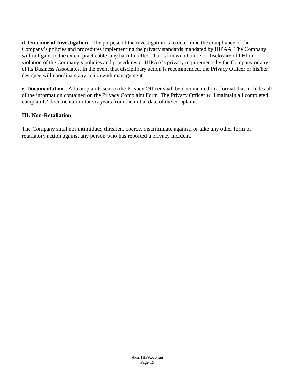**d. Outcome of Investigation -** The purpose of the investigation is to determine the compliance of the Company's policies and procedures implementing the privacy standards mandated by HIPAA. The Company will mitigate, to the extent practicable, any harmful effect that is known of a use or disclosure of PHI in violation of the Company's policies and procedures or HIPAA's privacy requirements by the Company or any of its Business Associates. In the event that disciplinary action is recommended, the Privacy Officer or his/her designee will coordinate any action with management.

**e. Documentation -** All complaints sent to the Privacy Officer shall be documented in a format that includes all of the information contained on the Privacy Complaint Form. The Privacy Officer will maintain all completed complaints' documentation for six years from the initial date of the complaint.

# **III. Non-Retaliation**

The Company shall not intimidate, threaten, coerce, discriminate against, or take any other form of retaliatory action against any person who has reported a privacy incident.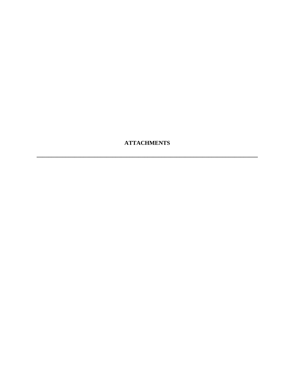**ATTACHMENTS**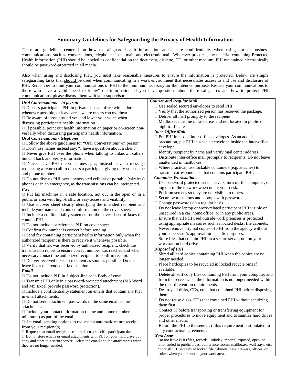### **Summary Guidelines for Safeguarding the Privacy of Health Information**

These are guidelines centered on how to safeguard health information and ensure confidentiality when using normal business communications, such as conversations, telephone, faxes, mail, and electronic mail. Wherever practical, the material containing Protected Health Information (PHI) should be labeled as confidential on the document, diskette, CD, or other medium. PHI maintained electronically should be password-protected in all media.

Also when using and disclosing PHI, you must take reasonable measures to ensure the information is protected. Below are simple safeguarding tasks that should be used when communicating in a work environment that necessitates access to and use and disclosure of PHI. Remember to limit your communications of PHI to the minimum necessary for the intended purpose. Restrict your communications to those who have a valid "need to know" the information. If you have questions about these safeguards and how to protect PHI communications, please discuss them with your supervisor.

| Oral Conversations – in person                                                                                                                                     | <b>Courier and Regular Mail</b>                                                  |
|--------------------------------------------------------------------------------------------------------------------------------------------------------------------|----------------------------------------------------------------------------------|
| $\Box$ Discuss participants PHI in private. Use an office with a door                                                                                              | □ Use sealed secured envelopes to send PHI.                                      |
| whenever possible, or leave areas where others can overhear.                                                                                                       | $\Box$ Verify that the authorized person has received the package.               |
| $\Box$ Be aware of those around you and lower your voice when                                                                                                      | $\Box$ Deliver all mail promptly to the recipient.                               |
| discussing participants health information.                                                                                                                        | $\Box$ Mailboxes must be in safe areas and not located in public or              |
| □ If possible, point out health information on paper or on-screen non-                                                                                             | high-traffic areas.                                                              |
| verbally when discussing participants health information.                                                                                                          | <b>Inter-Office Mail</b>                                                         |
| <b>Oral Conversations - telephone</b>                                                                                                                              | $\Box$ Put PHI in closed inter-office envelopes. As an added                     |
| □ Follow the above guidelines for "Oral Conversations"-in person"                                                                                                  | precaution, put PHI in a sealed envelope inside the inter-office                 |
| $\Box$ Don't use names instead say; "I have a question about a client".                                                                                            | envelope.                                                                        |
| $\Box$ Never give PHI over the phone when talking to unknown callers,                                                                                              | $\Box$ Identify recipient by name and verify mail center address.                |
| but call back and verify information.                                                                                                                              | $\Box$ Distribute inter-office mail promptly to recipients. Do not leave         |
| □ Never leave PHI on voice messages; instead leave a message                                                                                                       | unattended in mailboxes.                                                         |
| requesting a return call to discuss a participant giving only your name                                                                                            | $\Box$ Where practical, use lockable containers (e.g. attaches) to               |
| and phone number.                                                                                                                                                  | transmit correspondence that contains participant PHI.                           |
| $\Box$ Do not discuss PHI over unencrypted cellular or portable (wireless)                                                                                         | <b>Computer Workstations</b>                                                     |
| phones or in an emergency, as the transmissions can be intercepted.                                                                                                | $\Box$ Use password protected screen savers, turn off the computer, or           |
| Fax                                                                                                                                                                | log out of the network when not at your desk.                                    |
|                                                                                                                                                                    | $\Box$ Position screens so they are not visible to others.                       |
| $\Box$ Put fax machines in a safe location, not out in the open or in a                                                                                            | $\square$ Secure workstations and laptops with password.                         |
| public or area with high-traffic or easy access and visibility.                                                                                                    | □ Change passwords on a regular basis.                                           |
| $\Box$ Use a cover sheet clearly identifying the intended recipient and                                                                                            | $\Box$ Do not leave laptop or work-related participant PHI visible or            |
| include your name and contact information on the cover sheet.                                                                                                      | unsecured in a car, home office, or in any public areas.                         |
| $\Box$ Include a confidentiality statement on the cover sheet of faxes that                                                                                        |                                                                                  |
| contain PHI.                                                                                                                                                       | $\Box$ Ensure that all PHI used outside work premises is protected               |
| $\Box$ Do not include or reference PHI on cover sheet.                                                                                                             | using appropriate measures such as locked desks, file cabinets.                  |
| $\Box$ Confirm fax number is correct before sending.                                                                                                               | $\Box$ Never remove original copies of PHI from the agency without               |
| $\Box$ Send fax containing participant health information only when the                                                                                            | your supervisor's approval for specific purposes.                                |
| authorized recipient is there to receive it whenever possible.                                                                                                     | $\Box$ Store files that contain PHI on a secure server, not on your              |
| $\Box$ Verify that fax was received by authorized recipient; check the                                                                                             | workstation hard drive.                                                          |
| transmission report to ensure correct number was reached and when                                                                                                  | <b>Disposal of PHI</b>                                                           |
| necessary contact the authorized recipient to confirm receipt.                                                                                                     | $\Box$ Shred all hard copies containing PHI when the copies are no               |
| $\Box$ Deliver received faxes to recipient as soon as possible. Do not                                                                                             | longer needed.                                                                   |
| leave faxes unattended at fax machine.                                                                                                                             | $\Box$ Place hardcopies to be recycled in locked recycle bins if                 |
| Email                                                                                                                                                              | available.                                                                       |
| $\Box$ Do not include PHI in Subject-line or in Body of email.                                                                                                     | $\Box$ Delete all soft copy files containing PHI from your computer and          |
| □ Transmit PHI only in a password-protected attachment (MS Word                                                                                                    | from the server when the information is no longer needed within                  |
| and MS Excel provide password protection).                                                                                                                         | the record retention requirements.                                               |
| $\Box$ Include a confidentiality statement on emails that contain any PHI                                                                                          | $\Box$ Destroy all disks, CDs, etc., that contained PHI before disposing         |
| in email attachments.                                                                                                                                              | them.                                                                            |
| $\square$ Do not send attachment passwords in the same email as the                                                                                                | $\Box$ Do not reuse disks, CDs that contained PHI without sanitizing             |
| attachment.                                                                                                                                                        | them first.                                                                      |
| $\Box$ Include your contact information (name and phone number                                                                                                     | $\Box$ Contact IT before transporting or transferring equipment for              |
|                                                                                                                                                                    | proper procedures to move equipment and to sanitize hard drives                  |
| minimum) as part of the email.                                                                                                                                     | and other media.                                                                 |
| $\Box$ Set email sending options to request an automatic return receipt                                                                                            | $\Box$ Return the PHI to the sender, if this requirement is stipulated in        |
| from your recipient(s).                                                                                                                                            | any contractual agreements.                                                      |
| $\Box$ Request that email recipients call to discuss specific participant data.<br>$\Box$ Do not store emails or email attachments with PHI on your hard drive but | <b>Work Areas</b>                                                                |
| copy and store to a secure server. Delete the email and the attachments when                                                                                       | $\Box$ Do not leave PHI (files, records, Rolodex, reports) exposed, open, or     |
| they are no longer needed.                                                                                                                                         | unattended in public areas, conference rooms, mailboxes, wall trays, etc.        |
|                                                                                                                                                                    | $\Box$ Store all PHI securely in locked file cabinets, desk drawers, offices, or |

suites when you are not in your work area.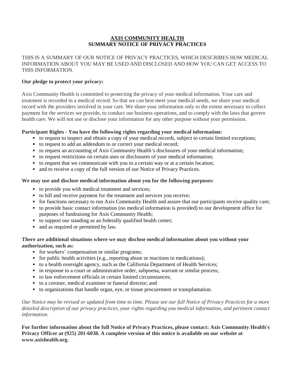## **AXIS COMMUNITY HEALTH SUMMARY NOTICE OF PRIVACY PRACTICES**

#### THIS IS A SUMMARY OF OUR NOTICE OF PRIVACY PRACTICES, WHICH DESCRIBES HOW MEDICAL INFORMATION ABOUT YOU MAY BE USED AND DISCLOSED AND HOW YOU CAN GET ACCESS TO THIS INFORMATION.

#### **Our pledge to protect your privacy:**

Axis Community Health is committed to protecting the privacy of your medical information. Your care and treatment is recorded in a medical record. So that we can best meet your medical needs, we share your medical record with the providers involved in your care. We share your information only to the extent necessary to collect payment for the services we provide, to conduct our business operations, and to comply with the laws that govern health care. We will not use or disclose your information for any other purpose without your permission.

## **Participant Rights - You have the following rights regarding your medical information:**

- to request to inspect and obtain a copy of your medical records, subject to certain limited exceptions;
- to request to add an addendum to or correct your medical record;
- to request an accounting of Axis Community Health's disclosures of your medical information;
- to request restrictions on certain uses or disclosures of your medical information;
- to request that we communicate with you in a certain way or at a certain location;
- and to receive a copy of the full version of our Notice of Privacy Practices.

### **We may use and disclose medical information about you for the following purposes:**

- to provide you with medical treatment and services;
- to bill and receive payment for the treatment and services you receive;
- for functions necessary to run Axis Community Health and assure that our participants receive quality care;
- to provide basic contact information (no medical information is provided) to our development office for purposes of fundraising for Axis Community Health;
- to support our standing as an federally qualified health center;
- and as required or permitted by law.

### **There are additional situations where we may disclose medical information about you without your authorization, such as:**

- for workers' compensation or similar programs;
- for public health activities (e.g., reporting abuse or reactions to medications);
- to a health oversight agency, such as the California Department of Health Services;
- in response to a court or administrative order, subpoena, warrant or similar process;
- to law enforcement officials in certain limited circumstances;
- to a coroner, medical examiner or funeral director; and
- to organizations that handle organ, eye, or tissue procurement or transplantation.

*Our Notice may be revised or updated from time to time. Please see our full Notice of Privacy Practices for a more detailed description of our privacy practices, your rights regarding you medical information, and pertinent contact information.* 

**For further information about the full Notice of Privacy Practices, please contact: Axis Community Health's Privacy Officer at (925) 201-6038. A complete version of this notice is available on our website at www.axishealth.org.**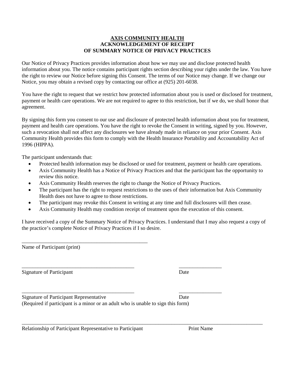### **AXIS COMMUNITY HEALTH ACKNOWLEDGEMENT OF RECEIPT OF SUMMARY NOTICE OF PRIVACY PRACTICES**

Our Notice of Privacy Practices provides information about how we may use and disclose protected health information about you. The notice contains participant rights section describing your rights under the law. You have the right to review our Notice before signing this Consent. The terms of our Notice may change. If we change our Notice, you may obtain a revised copy by contacting our office at (925) 201-6038.

You have the right to request that we restrict how protected information about you is used or disclosed for treatment, payment or health care operations. We are not required to agree to this restriction, but if we do, we shall honor that agreement.

By signing this form you consent to our use and disclosure of protected health information about you for treatment, payment and health care operations. You have the right to revoke the Consent in writing, signed by you. However, such a revocation shall not affect any disclosures we have already made in reliance on your prior Consent. Axis Community Health provides this form to comply with the Health Insurance Portability and Accountability Act of 1996 (HIPPA).

The participant understands that:

- Protected health information may be disclosed or used for treatment, payment or health care operations.
- Axis Community Health has a Notice of Privacy Practices and that the participant has the opportunity to review this notice.
- Axis Community Health reserves the right to change the Notice of Privacy Practices.

\_\_\_\_\_\_\_\_\_\_\_\_\_\_\_\_\_\_\_\_\_\_\_\_\_\_\_\_\_\_\_\_\_\_\_\_\_\_\_\_\_\_ \_\_\_\_\_\_\_\_\_\_\_\_\_\_\_\_

- The participant has the right to request restrictions to the uses of their information but Axis Community Health does not have to agree to those restrictions.
- The participant may revoke this Consent in writing at any time and full disclosures will then cease.
- Axis Community Health may condition receipt of treatment upon the execution of this consent.

I have received a copy of the Summary Notice of Privacy Practices. I understand that I may also request a copy of the practice's complete Notice of Privacy Practices if I so desire.

\_\_\_\_\_\_\_\_\_\_\_\_\_\_\_\_\_\_\_\_\_\_\_\_\_\_\_\_\_\_\_\_\_\_\_\_\_\_\_\_\_\_\_\_\_\_\_\_\_\_\_\_\_\_\_\_\_\_\_\_\_\_\_\_\_\_\_\_\_\_\_\_\_\_\_\_\_\_\_\_\_\_\_\_\_\_\_\_\_\_

Name of Participant (print)

Signature of Participant Date

\_\_\_\_\_\_\_\_\_\_\_\_\_\_\_\_\_\_\_\_\_\_\_\_\_\_\_\_\_\_\_\_\_\_\_\_\_\_\_\_\_\_ \_\_\_\_\_\_\_\_\_\_\_\_\_\_\_\_ Signature of Participant Representative Date (Required if participant is a minor or an adult who is unable to sign this form)

Relationship of Participant Representative to Participant Print Name

\_\_\_\_\_\_\_\_\_\_\_\_\_\_\_\_\_\_\_\_\_\_\_\_\_\_\_\_\_\_\_\_\_\_\_\_\_\_\_\_\_\_\_\_\_\_\_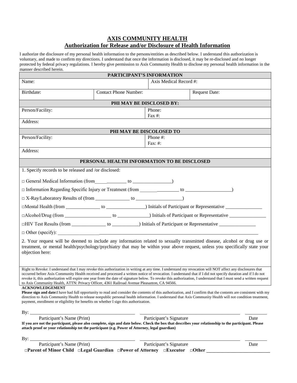# **AXIS COMMUNITY HEALTH Authorization for Release and/or Disclosure of Health Information**

I authorize the disclosure of my personal health information to the persons/entities as described below. I understand this authorization is voluntary, and made to confirm my directions. I understand that once the information is disclosed, it may be re-disclosed and no longer protected by federal privacy regulations. I hereby give permission to Axis Community Health to disclose my personal health information in the manner described herein.

| PARTICIPANT'S INFORMATION                                                                                                                                                                                                                                                                                                                                                                                                                                                                                                                                                                                                                                                                                                                                                                                                                                                                                                                                                                                                                             |                                             |                         |                                                                                                                                                                                                                                                          |  |
|-------------------------------------------------------------------------------------------------------------------------------------------------------------------------------------------------------------------------------------------------------------------------------------------------------------------------------------------------------------------------------------------------------------------------------------------------------------------------------------------------------------------------------------------------------------------------------------------------------------------------------------------------------------------------------------------------------------------------------------------------------------------------------------------------------------------------------------------------------------------------------------------------------------------------------------------------------------------------------------------------------------------------------------------------------|---------------------------------------------|-------------------------|----------------------------------------------------------------------------------------------------------------------------------------------------------------------------------------------------------------------------------------------------------|--|
| Name:                                                                                                                                                                                                                                                                                                                                                                                                                                                                                                                                                                                                                                                                                                                                                                                                                                                                                                                                                                                                                                                 |                                             | Axis Medical Record #:  |                                                                                                                                                                                                                                                          |  |
| Birthdate:                                                                                                                                                                                                                                                                                                                                                                                                                                                                                                                                                                                                                                                                                                                                                                                                                                                                                                                                                                                                                                            | <b>Contact Phone Number:</b>                |                         | <b>Request Date:</b>                                                                                                                                                                                                                                     |  |
|                                                                                                                                                                                                                                                                                                                                                                                                                                                                                                                                                                                                                                                                                                                                                                                                                                                                                                                                                                                                                                                       | PHI MAY BE DISCLOSED BY:                    |                         |                                                                                                                                                                                                                                                          |  |
| Person/Facility:                                                                                                                                                                                                                                                                                                                                                                                                                                                                                                                                                                                                                                                                                                                                                                                                                                                                                                                                                                                                                                      |                                             | Phone:<br>Fax #:        |                                                                                                                                                                                                                                                          |  |
| Address:                                                                                                                                                                                                                                                                                                                                                                                                                                                                                                                                                                                                                                                                                                                                                                                                                                                                                                                                                                                                                                              |                                             |                         |                                                                                                                                                                                                                                                          |  |
|                                                                                                                                                                                                                                                                                                                                                                                                                                                                                                                                                                                                                                                                                                                                                                                                                                                                                                                                                                                                                                                       | PHI MAY BE DISCOLOSED TO                    |                         |                                                                                                                                                                                                                                                          |  |
| Person/Facility:                                                                                                                                                                                                                                                                                                                                                                                                                                                                                                                                                                                                                                                                                                                                                                                                                                                                                                                                                                                                                                      |                                             | Phone #:<br>Fax: #:     |                                                                                                                                                                                                                                                          |  |
| Address:                                                                                                                                                                                                                                                                                                                                                                                                                                                                                                                                                                                                                                                                                                                                                                                                                                                                                                                                                                                                                                              |                                             |                         |                                                                                                                                                                                                                                                          |  |
|                                                                                                                                                                                                                                                                                                                                                                                                                                                                                                                                                                                                                                                                                                                                                                                                                                                                                                                                                                                                                                                       | PERSONAL HEALTH INFORMATION TO BE DISCLOSED |                         |                                                                                                                                                                                                                                                          |  |
| 1. Specify records to be released and /or disclosed:                                                                                                                                                                                                                                                                                                                                                                                                                                                                                                                                                                                                                                                                                                                                                                                                                                                                                                                                                                                                  |                                             |                         |                                                                                                                                                                                                                                                          |  |
|                                                                                                                                                                                                                                                                                                                                                                                                                                                                                                                                                                                                                                                                                                                                                                                                                                                                                                                                                                                                                                                       |                                             |                         |                                                                                                                                                                                                                                                          |  |
|                                                                                                                                                                                                                                                                                                                                                                                                                                                                                                                                                                                                                                                                                                                                                                                                                                                                                                                                                                                                                                                       |                                             |                         |                                                                                                                                                                                                                                                          |  |
|                                                                                                                                                                                                                                                                                                                                                                                                                                                                                                                                                                                                                                                                                                                                                                                                                                                                                                                                                                                                                                                       |                                             |                         |                                                                                                                                                                                                                                                          |  |
|                                                                                                                                                                                                                                                                                                                                                                                                                                                                                                                                                                                                                                                                                                                                                                                                                                                                                                                                                                                                                                                       |                                             |                         |                                                                                                                                                                                                                                                          |  |
|                                                                                                                                                                                                                                                                                                                                                                                                                                                                                                                                                                                                                                                                                                                                                                                                                                                                                                                                                                                                                                                       |                                             |                         |                                                                                                                                                                                                                                                          |  |
| □HIV Test Results (from _______________ to ___________) Initials of Participant or Representative ____________                                                                                                                                                                                                                                                                                                                                                                                                                                                                                                                                                                                                                                                                                                                                                                                                                                                                                                                                        |                                             |                         |                                                                                                                                                                                                                                                          |  |
|                                                                                                                                                                                                                                                                                                                                                                                                                                                                                                                                                                                                                                                                                                                                                                                                                                                                                                                                                                                                                                                       |                                             |                         |                                                                                                                                                                                                                                                          |  |
| objection here:                                                                                                                                                                                                                                                                                                                                                                                                                                                                                                                                                                                                                                                                                                                                                                                                                                                                                                                                                                                                                                       |                                             |                         | 2. Your request will be deemed to include any information related to sexually transmitted disease, alcohol or drug use or<br>treatment, or mental health/psychology/psychiatry that may be within your above request, unless you specifically state your |  |
| Right to Revoke: I understand that I may revoke this authorization in writing at any time. I understand my revocation will NOT affect any disclosures that<br>occurred before Axis Community Health received and processed a written notice of revocation. I understand that if I did not specify duration and if I do not<br>revoke it, this authorization will expire one year from the date of signature below. To revoke this authorization, I understand that I must send a written request<br>to Axis Community Health, ATTN: Privacy Officer, 4361 Railroad Avenue Pleasanton, CA 94566.<br><b>ACKNOWLEDGEMENT</b><br>Please sign and date: I have had full opportunity to read and consider the contents of this authorization, and I confirm that the contents are consistent with my<br>direction to Axis Community Health to release nonpublic personal health information. I understand that Axis Community Health will not condition treatment,<br>payment, enrollment or eligibility for benefits on whether I sign this authorization. |                                             |                         |                                                                                                                                                                                                                                                          |  |
| By: $\qquad \qquad$<br>Participant's Name (Print)<br>attach proof or your relationship tot the participant (e.g. Power of Attorney, legal guardian)                                                                                                                                                                                                                                                                                                                                                                                                                                                                                                                                                                                                                                                                                                                                                                                                                                                                                                   |                                             | Participant's Signature | Date<br>If you are not the participant, please also complete, sign and date below. Check the box that describes your relationship to the participant. Please                                                                                             |  |

By: \_\_\_\_\_\_\_\_\_\_\_\_\_\_\_\_\_\_\_\_\_\_\_\_\_\_\_\_\_\_\_\_\_\_\_\_\_\_\_\_\_\_\_ \_\_\_\_\_\_\_\_\_\_\_\_\_\_\_\_\_\_\_\_\_\_\_\_\_\_\_\_\_\_\_\_\_\_\_\_\_\_\_\_\_ \_\_\_\_\_\_\_\_\_ Participant's Name (Print) Participant's Signature Date □Parent of Minor Child □Legal Guardian □Power of Attorney □Executor □Other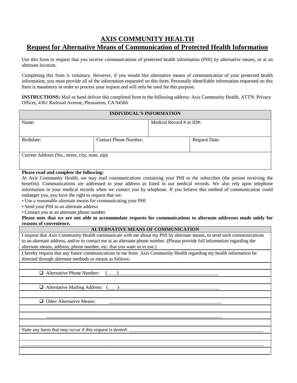# **AXIS COMMUNITY HEALTH Request for Alternative Means of Communication of Protected Health Information**

Use this form to request that you receive communications of protected health information (PHI) by alternative means, or at an alternate location.

Completing this form is voluntary. However, if you would like alternative means of communication of your protected health information, you must provide all of the information requested on this form. Personally identifiable information requested on this form is mandatory in order to process your request and will only be used for this purpose.

**INSTRUCTIONS:** Mail or hand deliver this completed form to the following address: Axis Community Health, ATTN: Privacy Officer, 4361 Railroad Avenue, Pleasanton, CA 94566

| <b>INDIVIDUAL'S INFORMATION</b>                  |                              |                          |                      |  |  |
|--------------------------------------------------|------------------------------|--------------------------|----------------------|--|--|
| Name:                                            |                              | Medical Record # or ID#: |                      |  |  |
|                                                  |                              |                          |                      |  |  |
| Birthdate:                                       | <b>Contact Phone Number:</b> |                          | <b>Request Date:</b> |  |  |
|                                                  |                              |                          |                      |  |  |
| Current Address (No., street, city, state, zip): |                              |                          |                      |  |  |
|                                                  |                              |                          |                      |  |  |
|                                                  |                              |                          |                      |  |  |

#### **Please read and complete the following:**

At Axis Community Health, we may mail communications containing your PHI to the subscriber (the person receiving the benefits). Communications are addressed to your address as listed in our medical records. We also rely upon telephone information in your medical records when we contact you by telephone. If you believe this method of communication could endanger you, you have the right to request that we:

- Use a reasonable alternate means for communicating your PHI
- Send your PHI to an alternate address
- Contact you at an alternate phone number

**Please note that we are not able to accommodate requests for communications to alternate addresses made solely for reasons of convenience.**

#### **ALTERNATIVE MEANS OF COMMUNICATION**

I request that Axis Community Health communicate with me about my PHI by alternate means, to send such communications to an alternate address, and/or to contact me at an alternate phone number. (Please provide full information regarding the alternate means, address, phone number, etc. that you want us to use.)

I hereby request that any future communications to me from Axis Community Health regarding my health information be directed through alternate methods or means as follows:

 $\mathcal{L} = \mathcal{L} = \{ \mathcal{L} = \{ \mathcal{L} = \mathcal{L} \}$ 

\_\_\_\_\_\_\_\_\_\_\_\_\_\_\_\_\_\_\_\_\_\_\_\_\_\_\_\_\_\_\_\_\_\_\_\_\_\_\_\_\_\_\_\_\_\_\_\_\_\_\_\_\_\_\_\_\_\_\_\_\_\_\_\_\_\_\_\_\_\_\_\_\_\_\_\_\_\_\_\_\_\_\_\_\_\_\_\_\_\_\_\_\_\_\_\_\_\_\_

 $\Box$  Alternative Phone Number:

 $\Box$  Alternative Mailing Address:

Other Alternative Means: \_\_\_\_\_\_\_\_\_\_\_\_\_\_\_\_\_\_\_\_\_\_\_\_\_\_\_\_\_\_\_\_\_\_\_\_\_\_\_\_\_\_\_\_\_\_

State any harm that may occur if this request is denied: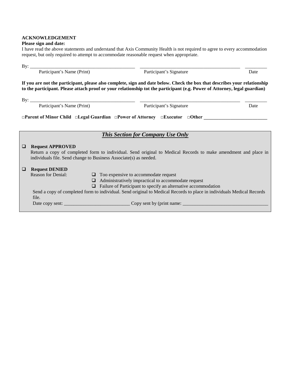#### **ACKNOWLEDGEMENT**

#### **Please sign and date:**

I have read the above statements and understand that Axis Community Health is not required to agree to every accommodation request, but only required to attempt to accommodate reasonable request when appropriate.

| Participant's Name (Print)                                        |    | Participant's Signature                                                                                                                                                                                                                                | Date |
|-------------------------------------------------------------------|----|--------------------------------------------------------------------------------------------------------------------------------------------------------------------------------------------------------------------------------------------------------|------|
|                                                                   |    | If you are not the participant, please also complete, sign and date below. Check the box that describes your relationship<br>to the participant. Please attach proof or your relationship tot the participant (e.g. Power of Attorney, legal guardian) |      |
|                                                                   |    |                                                                                                                                                                                                                                                        |      |
| Participant's Name (Print)                                        |    | Participant's Signature                                                                                                                                                                                                                                | Date |
|                                                                   |    | $\Box$ Parent of Minor Child $\Box$ Legal Guardian $\Box$ Power of Attorney $\Box$ Executor $\Box$ Other                                                                                                                                               |      |
|                                                                   |    |                                                                                                                                                                                                                                                        |      |
|                                                                   |    |                                                                                                                                                                                                                                                        |      |
|                                                                   |    | <b>This Section for Company Use Only</b>                                                                                                                                                                                                               |      |
| <b>Request APPROVED</b><br>⊔                                      |    |                                                                                                                                                                                                                                                        |      |
| individuals file. Send change to Business Associate(s) as needed. |    | Return a copy of completed form to individual. Send original to Medical Records to make amendment and place in                                                                                                                                         |      |
| <b>Request DENIED</b><br>⊔                                        |    |                                                                                                                                                                                                                                                        |      |
| <b>Reason for Denial:</b>                                         |    | $\Box$ Too expensive to accommodate request                                                                                                                                                                                                            |      |
|                                                                   | ⊔. | Administratively impractical to accommodate request                                                                                                                                                                                                    |      |
|                                                                   |    |                                                                                                                                                                                                                                                        |      |

 Failure of Participant to specify an alternative accommodation Send a copy of completed form to individual. Send original to Medical Records to place in individuals Medical Records

file.

Date copy sent: \_\_\_\_\_\_\_\_\_\_\_\_\_\_\_\_\_\_\_\_\_\_\_\_\_\_\_ Copy sent by (print name: \_\_\_\_\_\_\_\_\_\_\_\_\_\_\_\_\_\_\_\_\_\_\_\_\_\_\_\_\_\_\_\_\_\_\_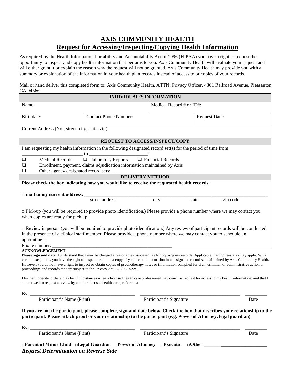# **AXIS COMMUNITY HEALTH Request for Accessing/Inspecting/Copying Health Information**

As required by the Health Information Portability and Accountability Act of 1996 (HIPAA) you have a right to request the opportunity to inspect and copy health information that pertains to you. Axis Community Health will evaluate your request and will either grant it or explain the reason why the request will not be granted. Axis Community Health may provide you with a summary or explanation of the information in your health plan records instead of access to or copies of your records.

Mail or hand deliver this completed form to: Axis Community Health, ATTN: Privacy Officer, 4361 Railroad Avenue, Pleasanton, CA 94566

|                                                                                                                                                                                      | <b>INDIVIDUAL'S INFORMATION</b>                                                                                                                                                                                                                                                                                                                                                                                                                                                                                                                                                                                                                            |                                     |                      |      |
|--------------------------------------------------------------------------------------------------------------------------------------------------------------------------------------|------------------------------------------------------------------------------------------------------------------------------------------------------------------------------------------------------------------------------------------------------------------------------------------------------------------------------------------------------------------------------------------------------------------------------------------------------------------------------------------------------------------------------------------------------------------------------------------------------------------------------------------------------------|-------------------------------------|----------------------|------|
| Name:                                                                                                                                                                                |                                                                                                                                                                                                                                                                                                                                                                                                                                                                                                                                                                                                                                                            | Medical Record # or ID#:            |                      |      |
| Birthdate:                                                                                                                                                                           | <b>Contact Phone Number:</b>                                                                                                                                                                                                                                                                                                                                                                                                                                                                                                                                                                                                                               |                                     | <b>Request Date:</b> |      |
| Current Address (No., street, city, state, zip):                                                                                                                                     |                                                                                                                                                                                                                                                                                                                                                                                                                                                                                                                                                                                                                                                            |                                     |                      |      |
|                                                                                                                                                                                      | REQUEST TO ACCESS/INSPECT/COPY                                                                                                                                                                                                                                                                                                                                                                                                                                                                                                                                                                                                                             |                                     |                      |      |
|                                                                                                                                                                                      | I am requesting my health information in the following designated record set(s) for the period of time from                                                                                                                                                                                                                                                                                                                                                                                                                                                                                                                                                |                                     |                      |      |
| ❏<br><b>Medical Records</b><br>❏<br>❏<br>Other agency designated record sets:                                                                                                        | $\Box$ laboratory Reports<br>Enrollment, payment, claims adjudication information maintained by Axis                                                                                                                                                                                                                                                                                                                                                                                                                                                                                                                                                       | $\overline{\Box}$ Financial Records |                      |      |
|                                                                                                                                                                                      | <b>DELIVERY METHOD</b>                                                                                                                                                                                                                                                                                                                                                                                                                                                                                                                                                                                                                                     |                                     |                      |      |
|                                                                                                                                                                                      | Please check the box indicating how you would like to receive the requested health records.                                                                                                                                                                                                                                                                                                                                                                                                                                                                                                                                                                |                                     |                      |      |
| $\Box$ mail to my current address: $\Box$                                                                                                                                            |                                                                                                                                                                                                                                                                                                                                                                                                                                                                                                                                                                                                                                                            |                                     |                      |      |
|                                                                                                                                                                                      | street address                                                                                                                                                                                                                                                                                                                                                                                                                                                                                                                                                                                                                                             | $\frac{1}{\text{city}}$<br>state    | zip code             |      |
| when copies are ready for pick up.<br>appointment.<br>Phone number:                                                                                                                  | $\Box$ Pick-up (you will be required to provide photo identification.) Please provide a phone number where we may contact you<br>$\Box$ Review in person (you will be required to provide photo identification.) Any review of participant records will be conducted<br>in the presence of a clinical staff member. Please provide a phone number where we may contact you to schedule an                                                                                                                                                                                                                                                                  |                                     |                      |      |
| <b>ACKNOWLEDGEMENT</b><br>proceedings and records that are subject to the Privacy Act, 5U.S.C. 522a.<br>am allowed to request a review by another licensed health care professional. | Please sign and date: I understand that I may be charged a reasonable cost-based fee for copying my records. Applicable mailing fees also may apply. With<br>certain exceptions, you have the right to inspect or obtain a copy of your health information in a designated record set maintained by Axis Community Health.<br>However, you do not have a right to inspect or obtain copies of psychotherapy notes or information compiled for civil, criminal, or administrative action or<br>I further understand there may be circumstances when a licensed health care professional may deny my request for access to my health information; and that I |                                     |                      |      |
| By: $_{-}$<br>Participant's Name (Print)                                                                                                                                             |                                                                                                                                                                                                                                                                                                                                                                                                                                                                                                                                                                                                                                                            | Participant's Signature             |                      | Date |
|                                                                                                                                                                                      | If you are not the participant, please complete, sign and date below. Check the box that describes your relationship to the<br>participant. Please attach proof or your relationship to the participant (e.g. Power of Attorney, legal guardian)                                                                                                                                                                                                                                                                                                                                                                                                           |                                     |                      |      |
| $\rm{By:}$                                                                                                                                                                           |                                                                                                                                                                                                                                                                                                                                                                                                                                                                                                                                                                                                                                                            |                                     |                      |      |
| Participant's Name (Print)                                                                                                                                                           |                                                                                                                                                                                                                                                                                                                                                                                                                                                                                                                                                                                                                                                            | Participant's Signature             |                      | Date |
|                                                                                                                                                                                      |                                                                                                                                                                                                                                                                                                                                                                                                                                                                                                                                                                                                                                                            |                                     |                      |      |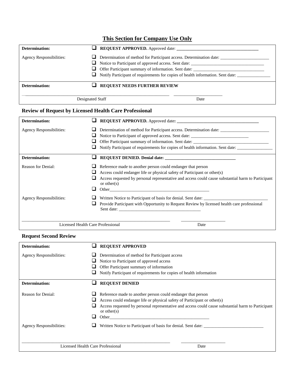# **This Section for Company Use Only**

| Determination:           |                                                                                                                                                                                                                                                                                                                   |  |
|--------------------------|-------------------------------------------------------------------------------------------------------------------------------------------------------------------------------------------------------------------------------------------------------------------------------------------------------------------|--|
| Agency Responsibilities: | Determination of method for Participant access. Determination date:<br>Notice to Participant of approved access. Sent date: ____________________________<br>ப<br><b>O</b> Offer Participant summary of information. Sent date:<br>Notify Participant of requirements for copies of health information. Sent date: |  |
| Determination:           | <b>REQUEST NEEDS FURTHER REVIEW</b>                                                                                                                                                                                                                                                                               |  |
|                          | Designated Staff<br>Date                                                                                                                                                                                                                                                                                          |  |

# **Review of Request by Licensed Health Care Professional**

| Determination:                  |                                                                                                                                                                                                                                                                  |
|---------------------------------|------------------------------------------------------------------------------------------------------------------------------------------------------------------------------------------------------------------------------------------------------------------|
| <b>Agency Responsibilities:</b> | Notice to Participant of approved access. Sent date: ____________________________<br>Notify Participant of requirements for copies of health information. Sent date:                                                                                             |
| Determination:                  |                                                                                                                                                                                                                                                                  |
| <b>Reason for Denial:</b>       | Reference made to another person could endanger that person<br>Access could endanger life or physical safety of Participant or other(s)<br>Access requested by personal representative and access could cause substantial harm to Participant<br>or other( $s$ ) |
| Agency Responsibilities:        | Written Notice to Participant of basis for denial. Sent date:<br>Provide Participant with Opportunity to Request Review by licensed health care professional                                                                                                     |
|                                 | Licensed Health Care Professional<br>Date                                                                                                                                                                                                                        |

# **Request Second Review**

| <b>Determination:</b>             | <b>REQUEST APPROVED</b>                                                                                               |
|-----------------------------------|-----------------------------------------------------------------------------------------------------------------------|
| Agency Responsibilities:          | Determination of method for Participant access                                                                        |
|                                   | Notice to Participant of approved access                                                                              |
|                                   | Offer Participant summary of information                                                                              |
|                                   | Notify Participant of requirements for copies of health information                                                   |
| <b>Determination:</b>             | <b>REQUEST DENIED</b>                                                                                                 |
| Reason for Denial:                | Reference made to another person could endanger that person                                                           |
|                                   | Access could endanger life or physical safety of Participant or other(s)                                              |
|                                   | Access requested by personal representative and access could cause substantial harm to Participant<br>or other( $s$ ) |
|                                   | Other<br>the control of the control of the control of the control of the control of the control of                    |
| <b>Agency Responsibilities:</b>   | Written Notice to Participant of basis for denial. Sent date:                                                         |
|                                   |                                                                                                                       |
| Licensed Health Care Professional | Date                                                                                                                  |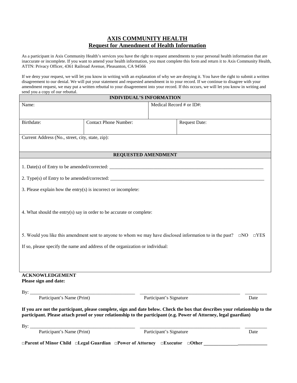## **AXIS COMMUNITY HEALTH Request for Amendment of Health Information**

As a participant in Axis Community Health's services you have the right to request amendments to your personal health information that are inaccurate or incomplete. If you want to amend your health information, you must complete this form and return it to Axis Community Health, ATTN: Privacy Officer, 4361 Railroad Avenue, Pleasanton, CA 94566

If we deny your request, we will let you know in writing with an explanation of why we are denying it. You have the right to submit a written disagreement to our denial. We will put your statement and requested amendment in to your record. If we continue to disagree with your amendment request, we may put a written rebuttal to your disagreement into your record. If this occurs, we will let you know in writing and send you a copy of our rebuttal.

|                                                                | <b>INDIVIDUAL'S INFORMATION</b>                                                                                                                                                                                                                  |                          |                      |      |  |  |
|----------------------------------------------------------------|--------------------------------------------------------------------------------------------------------------------------------------------------------------------------------------------------------------------------------------------------|--------------------------|----------------------|------|--|--|
| Name:                                                          |                                                                                                                                                                                                                                                  | Medical Record # or ID#: |                      |      |  |  |
|                                                                |                                                                                                                                                                                                                                                  |                          |                      |      |  |  |
| Birthdate:                                                     | <b>Contact Phone Number:</b>                                                                                                                                                                                                                     |                          | <b>Request Date:</b> |      |  |  |
| Current Address (No., street, city, state, zip):               |                                                                                                                                                                                                                                                  |                          |                      |      |  |  |
|                                                                |                                                                                                                                                                                                                                                  |                          |                      |      |  |  |
|                                                                | <b>REQUESTED AMENDMENT</b>                                                                                                                                                                                                                       |                          |                      |      |  |  |
|                                                                |                                                                                                                                                                                                                                                  |                          |                      |      |  |  |
|                                                                |                                                                                                                                                                                                                                                  |                          |                      |      |  |  |
| 3. Please explain how the entry(s) is incorrect or incomplete: |                                                                                                                                                                                                                                                  |                          |                      |      |  |  |
|                                                                | 4. What should the entry(s) say in order to be accurate or complete:                                                                                                                                                                             |                          |                      |      |  |  |
|                                                                | 5. Would you like this amendment sent to anyone to whom we may have disclosed information to in the past? $\Box$ NO $\Box$ YES                                                                                                                   |                          |                      |      |  |  |
|                                                                | If so, please specify the name and address of the organization or individual:                                                                                                                                                                    |                          |                      |      |  |  |
|                                                                |                                                                                                                                                                                                                                                  |                          |                      |      |  |  |
| <b>ACKNOWLEDGEMENT</b><br>Please sign and date:                |                                                                                                                                                                                                                                                  |                          |                      |      |  |  |
| By: $\qquad \qquad$                                            |                                                                                                                                                                                                                                                  |                          |                      |      |  |  |
| Participant's Name (Print)                                     |                                                                                                                                                                                                                                                  | Participant's Signature  |                      | Date |  |  |
|                                                                | If you are not the participant, please complete, sign and date below. Check the box that describes your relationship to the<br>participant. Please attach proof or your relationship to the participant (e.g. Power of Attorney, legal guardian) |                          |                      |      |  |  |
| Participant's Name (Print)                                     |                                                                                                                                                                                                                                                  | Participant's Signature  |                      | Date |  |  |

□Parent of Minor Child □Legal Guardian □Power of Attorney □Executor □Other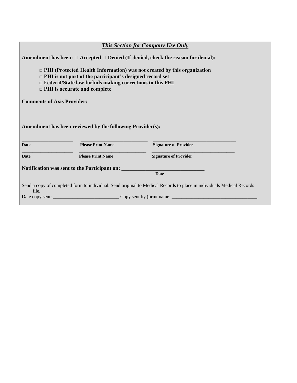| <b>This Section for Company Use Only</b>                                                                                                                                                                                                                    |                                              |                                                                                                                       |  |  |  |
|-------------------------------------------------------------------------------------------------------------------------------------------------------------------------------------------------------------------------------------------------------------|----------------------------------------------|-----------------------------------------------------------------------------------------------------------------------|--|--|--|
| Amendment has been: $\Box$ Accepted $\Box$ Denied (If denied, check the reason for denial):                                                                                                                                                                 |                                              |                                                                                                                       |  |  |  |
| $\Box$ PHI (Protected Health Information) was not created by this organization<br>$\Box$ PHI is not part of the participant's designed record set<br>$\Box$ Federal/State law forbids making corrections to this PHI<br>$\Box$ PHI is accurate and complete |                                              |                                                                                                                       |  |  |  |
| <b>Comments of Axis Provider:</b>                                                                                                                                                                                                                           |                                              |                                                                                                                       |  |  |  |
| Amendment has been reviewed by the following Provider(s):                                                                                                                                                                                                   |                                              |                                                                                                                       |  |  |  |
| <b>Date</b>                                                                                                                                                                                                                                                 | <b>Please Print Name</b>                     | <b>Signature of Provider</b>                                                                                          |  |  |  |
| <b>Date</b>                                                                                                                                                                                                                                                 | <b>Please Print Name</b>                     | <b>Signature of Provider</b>                                                                                          |  |  |  |
|                                                                                                                                                                                                                                                             | Notification was sent to the Participant on: |                                                                                                                       |  |  |  |
|                                                                                                                                                                                                                                                             |                                              | <b>Date</b>                                                                                                           |  |  |  |
| file.                                                                                                                                                                                                                                                       |                                              | Send a copy of completed form to individual. Send original to Medical Records to place in individuals Medical Records |  |  |  |
|                                                                                                                                                                                                                                                             |                                              |                                                                                                                       |  |  |  |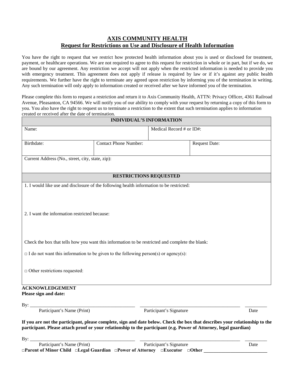## **AXIS COMMUNITY HEALTH Request for Restrictions on Use and Disclosure of Health Information**

You have the right to request that we restrict how protected health information about you is used or disclosed for treatment, payment, or healthcare operations. We are not required to agree to this request for restriction in whole or in part, but if we do, we are bound by our agreement. Any restriction we accept will not apply when the restricted information is needed to provide you with emergency treatment. This agreement does not apply if release is required by law or if it's against any public health requirements. We further have the right to terminate any agreed upon restriction by informing you of the termination in writing. Any such termination will only apply to information created or received after we have informed you of the termination.

Please complete this form to request a restriction and return it to Axis Community Health, ATTN: Privacy Officer, 4361 Railroad Avenue, Pleasanton, CA 94566. We will notify you of our ability to comply with your request by returning a copy of this form to you. You also have the right to request us to terminate a restriction to the extent that such termination applies to information created or received after the date of termination.

| <b>INDIVIDUAL'S INFORMATION</b>                                                                                                                                                                                                                  |                               |                          |                      |      |
|--------------------------------------------------------------------------------------------------------------------------------------------------------------------------------------------------------------------------------------------------|-------------------------------|--------------------------|----------------------|------|
| Name:                                                                                                                                                                                                                                            |                               | Medical Record # or ID#: |                      |      |
|                                                                                                                                                                                                                                                  |                               |                          |                      |      |
| Birthdate:                                                                                                                                                                                                                                       | <b>Contact Phone Number:</b>  |                          | <b>Request Date:</b> |      |
| Current Address (No., street, city, state, zip):                                                                                                                                                                                                 |                               |                          |                      |      |
|                                                                                                                                                                                                                                                  |                               |                          |                      |      |
|                                                                                                                                                                                                                                                  | <b>RESTRICTIONS REQUESTED</b> |                          |                      |      |
| 1. I would like use and disclosure of the following health information to be restricted:                                                                                                                                                         |                               |                          |                      |      |
|                                                                                                                                                                                                                                                  |                               |                          |                      |      |
|                                                                                                                                                                                                                                                  |                               |                          |                      |      |
| 2. I want the information restricted because:                                                                                                                                                                                                    |                               |                          |                      |      |
|                                                                                                                                                                                                                                                  |                               |                          |                      |      |
|                                                                                                                                                                                                                                                  |                               |                          |                      |      |
|                                                                                                                                                                                                                                                  |                               |                          |                      |      |
| Check the box that tells how you want this information to be restricted and complete the blank:                                                                                                                                                  |                               |                          |                      |      |
| $\Box$ I do not want this information to be given to the following person(s) or agency(s):                                                                                                                                                       |                               |                          |                      |      |
|                                                                                                                                                                                                                                                  |                               |                          |                      |      |
| $\Box$ Other restrictions requested:                                                                                                                                                                                                             |                               |                          |                      |      |
|                                                                                                                                                                                                                                                  |                               |                          |                      |      |
| <b>ACKNOWLEDGEMENT</b>                                                                                                                                                                                                                           |                               |                          |                      |      |
| Please sign and date:                                                                                                                                                                                                                            |                               |                          |                      |      |
| By:                                                                                                                                                                                                                                              |                               |                          |                      |      |
| Participant's Name (Print)                                                                                                                                                                                                                       |                               | Participant's Signature  |                      | Date |
|                                                                                                                                                                                                                                                  |                               |                          |                      |      |
| If you are not the participant, please complete, sign and date below. Check the box that describes your relationship to the<br>participant. Please attach proof or your relationship to the participant (e.g. Power of Attorney, legal guardian) |                               |                          |                      |      |
|                                                                                                                                                                                                                                                  |                               |                          |                      |      |
| By:                                                                                                                                                                                                                                              |                               |                          |                      |      |

| Participant's Name (Print)                                                                               |  | Participant's Signature |  | Date |
|----------------------------------------------------------------------------------------------------------|--|-------------------------|--|------|
| $\Box$ Parent of Minor Child $\Box$ Legal Guardian $\Box$ Power of Attorney $\Box$ Executor $\Box$ Other |  |                         |  |      |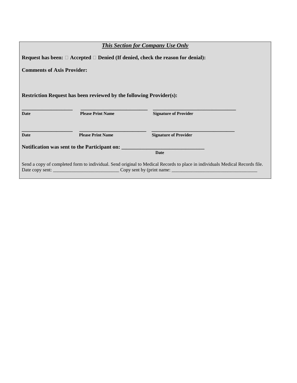| This Section for Company Use Only                                          |                          |                                                                                                                             |  |  |  |
|----------------------------------------------------------------------------|--------------------------|-----------------------------------------------------------------------------------------------------------------------------|--|--|--|
|                                                                            |                          | Request has been: $\Box$ Accepted $\Box$ Denied (If denied, check the reason for denial):                                   |  |  |  |
| <b>Comments of Axis Provider:</b>                                          |                          |                                                                                                                             |  |  |  |
| <b>Restriction Request has been reviewed by the following Provider(s):</b> |                          |                                                                                                                             |  |  |  |
| Date                                                                       | <b>Please Print Name</b> | <b>Signature of Provider</b>                                                                                                |  |  |  |
| Date                                                                       | <b>Please Print Name</b> | <b>Signature of Provider</b>                                                                                                |  |  |  |
| Notification was sent to the Participant on:                               |                          |                                                                                                                             |  |  |  |
|                                                                            |                          | <b>Date</b>                                                                                                                 |  |  |  |
|                                                                            |                          | Send a copy of completed form to individual. Send original to Medical Records to place in individuals Medical Records file. |  |  |  |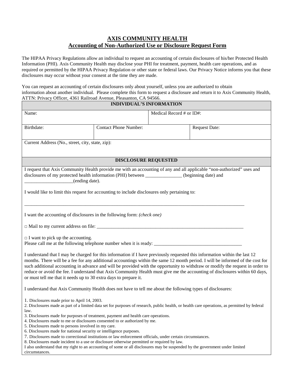# **AXIS COMMUNITY HEALTH Accounting of Non-Authorized Use or Disclosure Request Form**

The HIPAA Privacy Regulations allow an individual to request an accounting of certain disclosures of his/her Protected Health Information (PHI). Axis Community Health may disclose your PHI for treatment, payment, health care operations, and as required or permitted by the HIPAA Privacy Regulation or other state or federal laws. Our Privacy Notice informs you that these disclosures may occur without your consent at the time they are made.

You can request an accounting of certain disclosures only about yourself, unless you are authorized to obtain information about another individual. Please complete this form to request a disclosure and return it to Axis Community Health, ATTN: Privacy Officer, 4361 Railroad Avenue, Pleasanton, CA 94566.

| <b>INDIVIDUAL'S INFORMATION</b>                                                                                                                                                                                                                                                                                                                                                                                                                                                                                                                                                                                                                                                                                                                                                                                                                                         |                              |                          |                      |  |  |
|-------------------------------------------------------------------------------------------------------------------------------------------------------------------------------------------------------------------------------------------------------------------------------------------------------------------------------------------------------------------------------------------------------------------------------------------------------------------------------------------------------------------------------------------------------------------------------------------------------------------------------------------------------------------------------------------------------------------------------------------------------------------------------------------------------------------------------------------------------------------------|------------------------------|--------------------------|----------------------|--|--|
| Name:                                                                                                                                                                                                                                                                                                                                                                                                                                                                                                                                                                                                                                                                                                                                                                                                                                                                   |                              | Medical Record # or ID#: |                      |  |  |
| Birthdate:                                                                                                                                                                                                                                                                                                                                                                                                                                                                                                                                                                                                                                                                                                                                                                                                                                                              | <b>Contact Phone Number:</b> |                          | <b>Request Date:</b> |  |  |
| Current Address (No., street, city, state, zip):                                                                                                                                                                                                                                                                                                                                                                                                                                                                                                                                                                                                                                                                                                                                                                                                                        |                              |                          |                      |  |  |
|                                                                                                                                                                                                                                                                                                                                                                                                                                                                                                                                                                                                                                                                                                                                                                                                                                                                         | <b>DISCLOSURE REQUESTED</b>  |                          |                      |  |  |
| I request that Axis Community Health provide me with an accounting of any and all applicable "non-authorized" uses and<br>disclosures of my protected health information (PHI) between ______________ (beginning date) and<br>(ending date).<br>I would like to limit this request for accounting to include disclosures only pertaining to:                                                                                                                                                                                                                                                                                                                                                                                                                                                                                                                            |                              |                          |                      |  |  |
| I want the accounting of disclosures in the following form: (check one)                                                                                                                                                                                                                                                                                                                                                                                                                                                                                                                                                                                                                                                                                                                                                                                                 |                              |                          |                      |  |  |
| $\Box$ I want to pick up the accounting.                                                                                                                                                                                                                                                                                                                                                                                                                                                                                                                                                                                                                                                                                                                                                                                                                                |                              |                          |                      |  |  |
| I understand that I may be charged for this information if I have previously requested this information within the last 12<br>months. There will be a fee for any additional accountings within the same 12 month period. I will be informed of the cost for<br>such additional accounting in advance and will be provided with the opportunity to withdraw or modify the request in order to<br>reduce or avoid the fee. I understand that Axis Community Health must give me the accounting of disclosures within 60 days,<br>or must tell me that it needs up to 30 extra days to prepare it.                                                                                                                                                                                                                                                                        |                              |                          |                      |  |  |
| I understand that Axis Community Health does not have to tell me about the following types of disclosures:                                                                                                                                                                                                                                                                                                                                                                                                                                                                                                                                                                                                                                                                                                                                                              |                              |                          |                      |  |  |
| 1. Disclosures made prior to April 14, 2003.<br>2. Disclosures made as part of a limited data set for purposes of research, public health, or health care operations, as permitted by federal<br>law.<br>3. Disclosures made for purposes of treatment, payment and health care operations.<br>4. Disclosures made to me or disclosures consented to or authorized by me.<br>5. Disclosures made to persons involved in my care.<br>6. Disclosures made for national security or intelligence purposes.<br>7. Disclosures made to correctional institutions or law enforcement officials, under certain circumstances.<br>8. Disclosures made incident to a use or disclosure otherwise permitted or required by law.<br>I also understand that my right to an accounting of some or all disclosures may be suspended by the government under limited<br>circumstances. |                              |                          |                      |  |  |
|                                                                                                                                                                                                                                                                                                                                                                                                                                                                                                                                                                                                                                                                                                                                                                                                                                                                         |                              |                          |                      |  |  |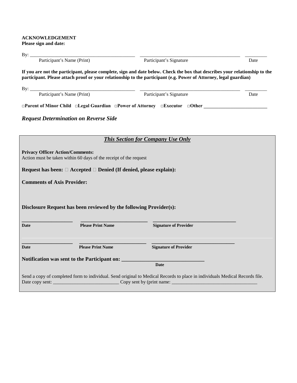#### **ACKNOWLEDGEMENT Please sign and date:**

| Bv<br>________ | ______   |        |
|----------------|----------|--------|
| .              | $     -$ | ' Jate |

**If you are not the participant, please complete, sign and date below. Check the box that describes your relationship to the participant. Please attach proof or your relationship to the participant (e.g. Power of Attorney, legal guardian)**

| Bv                                                                                                       |                         |      |
|----------------------------------------------------------------------------------------------------------|-------------------------|------|
| Participant's Name (Print)                                                                               | Participant's Signature | Date |
| $\Box$ Parent of Minor Child $\Box$ Legal Guardian $\Box$ Power of Attorney $\Box$ Executor $\Box$ Other |                         |      |

*Request Determination on Reverse Side*

|                                                      |                                                                                                | <b>This Section for Company Use Only</b>                                                                                                                                 |  |  |
|------------------------------------------------------|------------------------------------------------------------------------------------------------|--------------------------------------------------------------------------------------------------------------------------------------------------------------------------|--|--|
| <b>Privacy Officer Action/Comments:</b>              | Action must be taken within 60 days of the receipt of the request                              |                                                                                                                                                                          |  |  |
|                                                      | Request has been: $\Box$ Accepted $\Box$ Denied (If denied, please explain):                   |                                                                                                                                                                          |  |  |
| <b>Comments of Axis Provider:</b>                    |                                                                                                |                                                                                                                                                                          |  |  |
| <b>Date</b>                                          | Disclosure Request has been reviewed by the following Provider(s):<br><b>Please Print Name</b> | <b>Signature of Provider</b>                                                                                                                                             |  |  |
| <b>Date</b>                                          | <b>Please Print Name</b>                                                                       | <b>Signature of Provider</b>                                                                                                                                             |  |  |
| Notification was sent to the Participant on:<br>Date |                                                                                                |                                                                                                                                                                          |  |  |
|                                                      |                                                                                                | Send a copy of completed form to individual. Send original to Medical Records to place in individuals Medical Records file.<br>Date copy sent: Copy sent by (print name: |  |  |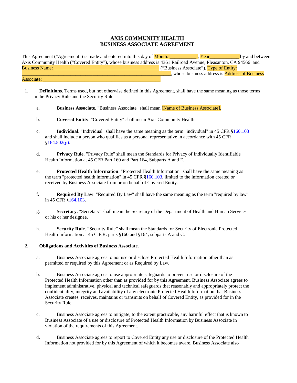#### **AXIS COMMUNITY HEALTH BUSINESS ASSOCIATE AGREEMENT**

| This Agreement ("Agreement") is made and entered into this day of Month:                                           |                                         | Year                                            | by and between |
|--------------------------------------------------------------------------------------------------------------------|-----------------------------------------|-------------------------------------------------|----------------|
| Axis Community Health ("Covered Entity"), whose business address is 4361 Railroad Avenue, Pleasanton, CA 94566 and |                                         |                                                 |                |
| <b>Business Name:</b>                                                                                              | ("Business Associate"), Type of Entity: |                                                 |                |
|                                                                                                                    |                                         | , whose business address is Address of Business |                |
| Associate:                                                                                                         |                                         |                                                 |                |

- 1. **Definitions.** Terms used, but not otherwise defined in this Agreement, shall have the same meaning as those terms in the Privacy Rule and the Security Rule.
	- a. **Business Associate**. "Business Associate" shall mean [Name of Business Associate].
	- b. **Covered Entity**. "Covered Entity" shall mean Axis Community Health.
	- c. **Individual**. "Individual" shall have the same meaning as the term "individual" in 45 CFR [§160.103](http://www.hipaasurvivalguide.com/hipaa-regulations/160-103.php#individual) and shall include a person who qualifies as a personal representative in accordance with 45 CFR [§164.502\(g\).](http://www.hipaasurvivalguide.com/hipaa-regulations/164-502.php#g)
	- d. **Privacy Rule**. "Privacy Rule" shall mean the Standards for Privacy of Individually Identifiable Health Information at 45 CFR Part 160 and Part 164, Subparts A and E.
	- e. **Protected Health Information**. "Protected Health Information" shall have the same meaning as the term "protected health information" in 45 CFR [§160.103,](http://www.hipaasurvivalguide.com/hipaa-regulations/160-103.php#protected-health-information) limited to the information created or received by Business Associate from or on behalf of Covered Entity.
	- f. **Required By Law**. "Required By Law" shall have the same meaning as the term "required by law" in 45 CFR [§164.103.](http://www.hipaasurvivalguide.com/hipaa-regulations/164-103.php#required-by-law)
	- g. **Secretary**. "Secretary" shall mean the Secretary of the Department of Health and Human Services or his or her designee.
	- h. **Security Rule**. "Security Rule" shall mean the Standards for Security of Electronic Protected Health Information at 45 C.F.R. parts §160 and §164, subparts A and C.

#### 2. **Obligations and Activities of Business Associate.**

- a. Business Associate agrees to not use or disclose Protected Health Information other than as permitted or required by this Agreement or as Required by Law.
- b. Business Associate agrees to use appropriate safeguards to prevent use or disclosure of the Protected Health Information other than as provided for by this Agreement. Business Associate agrees to implement administrative, physical and technical safeguards that reasonably and appropriately protect the confidentiality, integrity and availability of any electronic Protected Health Information that Business Associate creates, receives, maintains or transmits on behalf of Covered Entity, as provided for in the Security Rule.
- c. Business Associate agrees to mitigate, to the extent practicable, any harmful effect that is known to Business Associate of a use or disclosure of Protected Health Information by Business Associate in violation of the requirements of this Agreement.
- d. Business Associate agrees to report to Covered Entity any use or disclosure of the Protected Health Information not provided for by this Agreement of which it becomes aware. Business Associate also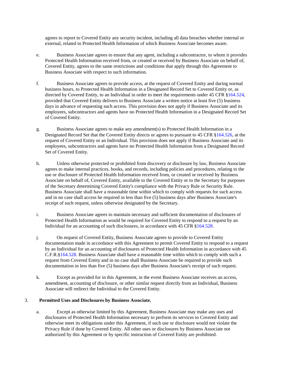agrees to report to Covered Entity any security incident, including all data breaches whether internal or external, related to Protected Health Information of which Business Associate becomes aware.

- e. Business Associate agrees to ensure that any agent, including a subcontractor, to whom it provides Protected Health Information received from, or created or received by Business Associate on behalf of, Covered Entity, agrees to the same restrictions and conditions that apply through this Agreement to Business Associate with respect to such information.
- f. Business Associate agrees to provide access, at the request of Covered Entity and during normal business hours, to Protected Health Information in a Designated Record Set to Covered Entity or, as directed by Covered Entity, to an Individual in order to meet the requirements under 45 CFR [§164.524,](http://www.hipaasurvivalguide.com/hipaa-regulations/164-524.php) provided that Covered Entity delivers to Business Associate a written notice at least five (5) business days in advance of requesting such access. This provision does not apply if Business Associate and its employees, subcontractors and agents have no Protected Health Information in a Designated Record Set of Covered Entity.
- g. Business Associate agrees to make any amendment(s) to Protected Health Information in a Designated Record Set that the Covered Entity directs or agrees to pursuant to 45 CFR [§164.526,](http://www.hipaasurvivalguide.com/hipaa-regulations/164-526.php) at the request of Covered Entity or an Individual. This provision does not apply if Business Associate and its employees, subcontractors and agents have no Protected Health Information from a Designated Record Set of Covered Entity.
- h. Unless otherwise protected or prohibited from discovery or disclosure by law, Business Associate agrees to make internal practices, books, and records, including policies and procedures, relating to the use or disclosure of Protected Health Information received from, or created or received by Business Associate on behalf of, Covered Entity, available to the Covered Entity or to the Secretary for purposes of the Secretary determining Covered Entity's compliance with the Privacy Rule or Security Rule. Business Associate shall have a reasonable time within which to comply with requests for such access and in no case shall access be required in less than five (5) business days after Business Associate's receipt of such request, unless otherwise designated by the Secretary.
- i. Business Associate agrees to maintain necessary and sufficient documentation of disclosures of Protected Health Information as would be required for Covered Entity to respond to a request by an Individual for an accounting of such disclosures, in accordance with 45 CFR [§164.528.](http://www.hipaasurvivalguide.com/hipaa-regulations/164-528.php)
- j. On request of Covered Entity, Business Associate agrees to provide to Covered Entity documentation made in accordance with this Agreement to permit Covered Entity to respond to a request by an Individual for an accounting of disclosures of Protected Health Information in accordance with 45 C.F.R.[§164.528.](http://www.hipaasurvivalguide.com/hipaa-regulations/164-528.php) Business Associate shall have a reasonable time within which to comply with such a request from Covered Entity and in no case shall Business Associate be required to provide such documentation in less than five (5) business days after Business Associate's receipt of such request.
- k. Except as provided for in this Agreement, in the event Business Associate receives an access, amendment, accounting of disclosure, or other similar request directly from an Individual, Business Associate will redirect the Individual to the Covered Entity.

#### 3. **Permitted Uses and Disclosures by Business Associate.**

a. Except as otherwise limited by this Agreement, Business Associate may make any uses and disclosures of Protected Health Information necessary to perform its services to Covered Entity and otherwise meet its obligations under this Agreement, if such use or disclosure would not violate the Privacy Rule if done by Covered Entity. All other uses or disclosures by Business Associate not authorized by this Agreement or by specific instruction of Covered Entity are prohibited.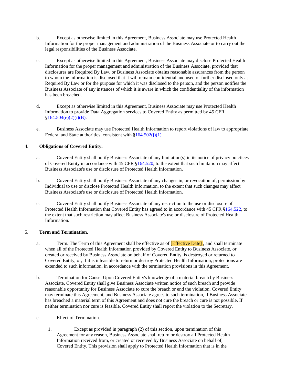- b. Except as otherwise limited in this Agreement, Business Associate may use Protected Health Information for the proper management and administration of the Business Associate or to carry out the legal responsibilities of the Business Associate.
- c. Except as otherwise limited in this Agreement, Business Associate may disclose Protected Health Information for the proper management and administration of the Business Associate, provided that disclosures are Required By Law, or Business Associate obtains reasonable assurances from the person to whom the information is disclosed that it will remain confidential and used or further disclosed only as Required By Law or for the purpose for which it was disclosed to the person, and the person notifies the Business Associate of any instances of which it is aware in which the confidentiality of the information has been breached.
- d. Except as otherwise limited in this Agreement, Business Associate may use Protected Health Information to provide Data Aggregation services to Covered Entity as permitted by 45 CFR  $§164.504(e)(2)(i)(B).$
- e. Business Associate may use Protected Health Information to report violations of law to appropriate Federal and State authorities, consistent with  $§164.502(i)(1)$ .

#### 4. **Obligations of Covered Entity.**

- a. Covered Entity shall notify Business Associate of any limitation(s) in its notice of privacy practices of Covered Entity in accordance with 45 CFR [§164.520,](http://www.hipaasurvivalguide.com/hipaa-regulations/164-520.php) to the extent that such limitation may affect Business Associate's use or disclosure of Protected Health Information.
- b. Covered Entity shall notify Business Associate of any changes in, or revocation of, permission by Individual to use or disclose Protected Health Information, to the extent that such changes may affect Business Associate's use or disclosure of Protected Health Information.
- c. Covered Entity shall notify Business Associate of any restriction to the use or disclosure of Protected Health Information that Covered Entity has agreed to in accordance with 45 CFR [§164.522,](http://www.hipaasurvivalguide.com/hipaa-regulations/164-522.php) to the extent that such restriction may affect Business Associate's use or disclosure of Protected Health Information.

#### 5. **Term and Termination.**

- a. Term. The Term of this Agreement shall be effective as of **[Effective Date]**, and shall terminate when all of the Protected Health Information provided by Covered Entity to Business Associate, or created or received by Business Associate on behalf of Covered Entity, is destroyed or returned to Covered Entity, or, if it is infeasible to return or destroy Protected Health Information, protections are extended to such information, in accordance with the termination provisions in this Agreement.
- b. Termination for Cause. Upon Covered Entity's knowledge of a material breach by Business Associate, Covered Entity shall give Business Associate written notice of such breach and provide reasonable opportunity for Business Associate to cure the breach or end the violation. Covered Entity may terminate this Agreement, and Business Associate agrees to such termination, if Business Associate has breached a material term of this Agreement and does not cure the breach or cure is not possible. If neither termination nor cure is feasible, Covered Entity shall report the violation to the Secretary.

#### c. Effect of Termination.

1. Except as provided in paragraph (2) of this section, upon termination of this Agreement for any reason, Business Associate shall return or destroy all Protected Health Information received from, or created or received by Business Associate on behalf of, Covered Entity. This provision shall apply to Protected Health Information that is in the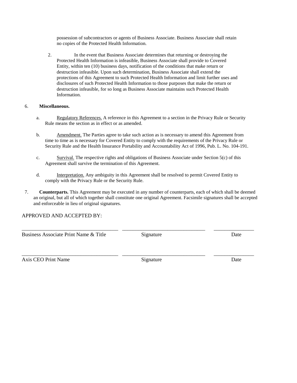possession of subcontractors or agents of Business Associate. Business Associate shall retain no copies of the Protected Health Information.

2. In the event that Business Associate determines that returning or destroying the Protected Health Information is infeasible, Business Associate shall provide to Covered Entity, within ten (10) business days, notification of the conditions that make return or destruction infeasible. Upon such determination, Business Associate shall extend the protections of this Agreement to such Protected Health Information and limit further uses and disclosures of such Protected Health Information to those purposes that make the return or destruction infeasible, for so long as Business Associate maintains such Protected Health Information.

#### 6. **Miscellaneous.**

- a. Regulatory References. A reference in this Agreement to a section in the Privacy Rule or Security Rule means the section as in effect or as amended.
- b. Amendment. The Parties agree to take such action as is necessary to amend this Agreement from time to time as is necessary for Covered Entity to comply with the requirements of the Privacy Rule or Security Rule and the Health Insurance Portability and Accountability Act of 1996, Pub. L. No. 104-191.
- c. Survival. The respective rights and obligations of Business Associate under Section 5(c) of this Agreement shall survive the termination of this Agreement.
- d. Interpretation. Any ambiguity in this Agreement shall be resolved to permit Covered Entity to comply with the Privacy Rule or the Security Rule.
- 7. **Counterparts.** This Agreement may be executed in any number of counterparts, each of which shall be deemed an original, but all of which together shall constitute one original Agreement. Facsimile signatures shall be accepted and enforceable in lieu of original signatures.

\_\_\_\_\_\_\_\_\_\_\_\_\_\_\_\_\_\_\_\_\_\_\_\_\_\_\_\_\_\_\_\_\_\_\_\_ \_\_\_\_\_\_\_\_\_\_\_\_\_\_\_\_\_\_\_\_\_\_\_\_\_\_\_\_\_\_\_ \_\_\_\_\_\_\_\_\_\_\_\_\_\_\_

\_\_\_\_\_\_\_\_\_\_\_\_\_\_\_\_\_\_\_\_\_\_\_\_\_\_\_\_\_\_\_\_\_\_\_\_ \_\_\_\_\_\_\_\_\_\_\_\_\_\_\_\_\_\_\_\_\_\_\_\_\_\_\_\_\_\_\_ \_\_\_\_\_\_\_\_\_\_\_\_\_\_\_

#### APPROVED AND ACCEPTED BY:

Business Associate Print Name & Title Signature Date Serverse Date

Axis CEO Print Name **Signature** Date of Signature Date of Date of Date of Date of Date of Date of Date of Date of Date of Date of Date of Date of Date of Date of Date of Date of Date of Date of Date of Date of Date of Date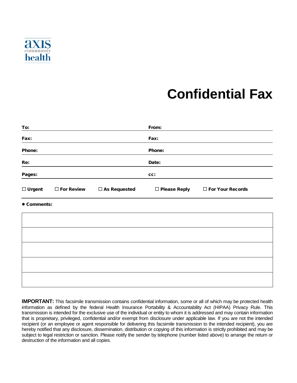

# **Confidential Fax**

| To:           |                      |                        | From:                  |                    |
|---------------|----------------------|------------------------|------------------------|--------------------|
| Fax:          |                      |                        | Fax:                   |                    |
| <b>Phone:</b> |                      |                        | Phone:                 |                    |
| Re:           |                      |                        | Date:                  |                    |
| Pages:        |                      |                        | CC:                    |                    |
| $\Box$ Urgent | $\square$ For Review | $\square$ As Requested | $\square$ Please Reply | □ For Your Records |
| Comments:     |                      |                        |                        |                    |
|               |                      |                        |                        |                    |
|               |                      |                        |                        |                    |
|               |                      |                        |                        |                    |

**IMPORTANT:** This facsimile transmission contains confidential information, some or all of which may be protected health information as defined by the federal Health Insurance Portability & Accountability Act (HIPAA) Privacy Rule. This transmission is intended for the exclusive use of the individual or entity to whom it is addressed and may contain information that is proprietary, privileged, confidential and/or exempt from disclosure under applicable law. If you are not the intended recipient (or an employee or agent responsible for delivering this facsimile transmission to the intended recipient), you are hereby notified that any disclosure, dissemination, distribution or copying of this information is strictly prohibited and may be subject to legal restriction or sanction. Please notify the sender by telephone (number listed above) to arrange the return or destruction of the information and all copies.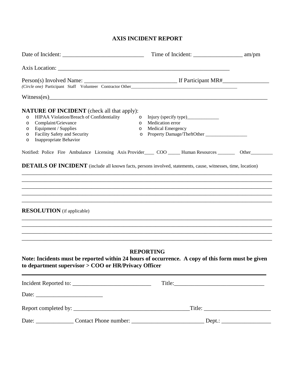# **AXIS INCIDENT REPORT**

| Witness(es)                                                                                                                                               |                                        |  |
|-----------------------------------------------------------------------------------------------------------------------------------------------------------|----------------------------------------|--|
| <b>NATURE OF INCIDENT</b> (check all that apply):                                                                                                         |                                        |  |
| HIPAA Violation/Breach of Confidentiality<br>$\circ$<br>Complaint/Grievance<br>$\circ$                                                                    | $\circ$<br>Medication error<br>$\circ$ |  |
| Equipment / Supplies<br>$\circ$                                                                                                                           | <b>Medical Emergency</b><br>$\circ$    |  |
| Facility Safety and Security<br>$\circ$<br>Inappropriate Behavior<br>$\circ$                                                                              |                                        |  |
|                                                                                                                                                           |                                        |  |
| <b>RESOLUTION</b> (if applicable)<br>,我们也不会有什么。""我们的人,我们也不会有什么?""我们的人,我们也不会有什么?""我们的人,我们也不会有什么?""我们的人,我们也不会有什么?""我们的人                                     |                                        |  |
| Note: Incidents must be reported within 24 hours of occurrence. A copy of this form must be given<br>to department supervisor > COO or HR/Privacy Officer | <b>REPORTING</b>                       |  |
|                                                                                                                                                           |                                        |  |
|                                                                                                                                                           |                                        |  |
|                                                                                                                                                           |                                        |  |
|                                                                                                                                                           |                                        |  |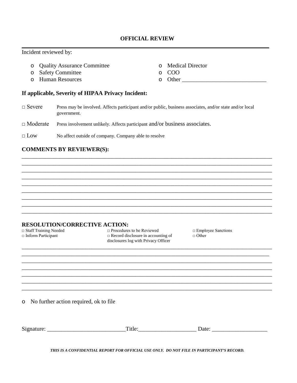## **OFFICIAL REVIEW \_\_\_\_\_\_\_\_\_\_\_\_\_\_\_\_\_\_\_\_\_\_\_\_\_\_\_\_\_\_\_\_\_\_\_\_\_\_\_\_\_\_\_\_\_\_\_\_\_\_\_\_\_\_\_\_\_\_\_\_\_\_\_\_\_\_\_\_\_\_\_\_\_\_\_\_\_\_\_\_\_\_\_\_\_**

Incident reviewed by:

- o Quality Assurance Committee
- o Safety Committee
- o Human Resources
- o Medical Director
- o COO
- o Other \_\_\_\_\_\_\_\_\_\_\_\_\_\_\_\_\_\_\_\_\_\_\_\_\_\_\_\_\_

### **If applicable, Severity of HIPAA Privacy Incident:**

□ Severe Press may be involved. Affects participant and/or public, business associates, and/or state and/or local government.

\_\_\_\_\_\_\_\_\_\_\_\_\_\_\_\_\_\_\_\_\_\_\_\_\_\_\_\_\_\_\_\_\_\_\_\_\_\_\_\_\_\_\_\_\_\_\_\_\_\_\_\_\_\_\_\_\_\_\_\_\_\_\_\_\_\_\_\_\_\_\_\_\_\_\_\_\_\_\_\_\_\_\_\_\_\_ \_\_\_\_\_\_\_\_\_\_\_\_\_\_\_\_\_\_\_\_\_\_\_\_\_\_\_\_\_\_\_\_\_\_\_\_\_\_\_\_\_\_\_\_\_\_\_\_\_\_\_\_\_\_\_\_\_\_\_\_\_\_\_\_\_\_\_\_\_\_\_\_\_\_\_\_\_\_\_\_\_\_\_\_\_\_ \_\_\_\_\_\_\_\_\_\_\_\_\_\_\_\_\_\_\_\_\_\_\_\_\_\_\_\_\_\_\_\_\_\_\_\_\_\_\_\_\_\_\_\_\_\_\_\_\_\_\_\_\_\_\_\_\_\_\_\_\_\_\_\_\_\_\_\_\_\_\_\_\_\_\_\_\_\_\_\_\_\_\_\_\_\_ \_\_\_\_\_\_\_\_\_\_\_\_\_\_\_\_\_\_\_\_\_\_\_\_\_\_\_\_\_\_\_\_\_\_\_\_\_\_\_\_\_\_\_\_\_\_\_\_\_\_\_\_\_\_\_\_\_\_\_\_\_\_\_\_\_\_\_\_\_\_\_\_\_\_\_\_\_\_\_\_\_\_\_\_\_\_ \_\_\_\_\_\_\_\_\_\_\_\_\_\_\_\_\_\_\_\_\_\_\_\_\_\_\_\_\_\_\_\_\_\_\_\_\_\_\_\_\_\_\_\_\_\_\_\_\_\_\_\_\_\_\_\_\_\_\_\_\_\_\_\_\_\_\_\_\_\_\_\_\_\_\_\_\_\_\_\_\_\_\_\_\_\_ \_\_\_\_\_\_\_\_\_\_\_\_\_\_\_\_\_\_\_\_\_\_\_\_\_\_\_\_\_\_\_\_\_\_\_\_\_\_\_\_\_\_\_\_\_\_\_\_\_\_\_\_\_\_\_\_\_\_\_\_\_\_\_\_\_\_\_\_\_\_\_\_\_\_\_\_\_\_\_\_\_\_\_\_\_\_ \_\_\_\_\_\_\_\_\_\_\_\_\_\_\_\_\_\_\_\_\_\_\_\_\_\_\_\_\_\_\_\_\_\_\_\_\_\_\_\_\_\_\_\_\_\_\_\_\_\_\_\_\_\_\_\_\_\_\_\_\_\_\_\_\_\_\_\_\_\_\_\_\_\_\_\_\_\_\_\_\_\_\_\_\_\_ \_\_\_\_\_\_\_\_\_\_\_\_\_\_\_\_\_\_\_\_\_\_\_\_\_\_\_\_\_\_\_\_\_\_\_\_\_\_\_\_\_\_\_\_\_\_\_\_\_\_\_\_\_\_\_\_\_\_\_\_\_\_\_\_\_\_\_\_\_\_\_\_\_\_\_\_\_\_\_\_\_\_\_\_\_\_ \_\_\_\_\_\_\_\_\_\_\_\_\_\_\_\_\_\_\_\_\_\_\_\_\_\_\_\_\_\_\_\_\_\_\_\_\_\_\_\_\_\_\_\_\_\_\_\_\_\_\_\_\_\_\_\_\_\_\_\_\_\_\_\_\_\_\_\_\_\_\_\_\_\_\_\_\_\_\_\_\_\_\_\_\_\_

- $\Box$  Moderate Press involvement unlikely. Affects participant and/or business associates.
- □ Low No affect outside of company. Company able to resolve

## **COMMENTS BY REVIEWER(S):**

# **RESOLUTION/CORRECTIVE ACTION:**<br>  $\Box$  Staff Training Needed

□ Staff Training Needed □ Procedures to be Reviewed □ Employee Sanctions<br>□ Inform Participant □ Record disclosure in accounting of □ Other □ Record disclosure in accounting of disclosures log with Privacy Officer

\_\_\_\_\_\_\_\_\_\_\_\_\_\_\_\_\_\_\_\_\_\_\_\_\_\_\_\_\_\_\_\_\_\_\_\_\_\_\_\_\_\_\_\_\_\_\_\_\_\_\_\_\_\_\_\_\_\_\_\_\_\_\_\_\_\_\_\_\_\_\_\_\_\_\_\_\_\_\_\_\_\_\_\_\_\_ \_\_\_\_\_\_\_\_\_\_\_\_\_\_\_\_\_\_\_\_\_\_\_\_\_\_\_\_\_\_\_\_\_\_\_\_\_\_\_\_\_\_\_\_\_\_\_\_\_\_\_\_\_\_\_\_\_\_\_\_\_\_\_\_\_\_\_\_\_\_\_\_\_\_\_\_\_\_\_\_\_\_\_\_\_ \_\_\_\_\_\_\_\_\_\_\_\_\_\_\_\_\_\_\_\_\_\_\_\_\_\_\_\_\_\_\_\_\_\_\_\_\_\_\_\_\_\_\_\_\_\_\_\_\_\_\_\_\_\_\_\_\_\_\_\_\_\_\_\_\_\_\_\_\_\_\_\_\_\_\_\_\_\_\_\_\_\_\_\_\_\_ \_\_\_\_\_\_\_\_\_\_\_\_\_\_\_\_\_\_\_\_\_\_\_\_\_\_\_\_\_\_\_\_\_\_\_\_\_\_\_\_\_\_\_\_\_\_\_\_\_\_\_\_\_\_\_\_\_\_\_\_\_\_\_\_\_\_\_\_\_\_\_\_\_\_\_\_\_\_\_\_\_\_\_\_\_\_ \_\_\_\_\_\_\_\_\_\_\_\_\_\_\_\_\_\_\_\_\_\_\_\_\_\_\_\_\_\_\_\_\_\_\_\_\_\_\_\_\_\_\_\_\_\_\_\_\_\_\_\_\_\_\_\_\_\_\_\_\_\_\_\_\_\_\_\_\_\_\_\_\_\_\_\_\_\_\_\_\_\_\_\_\_\_ \_\_\_\_\_\_\_\_\_\_\_\_\_\_\_\_\_\_\_\_\_\_\_\_\_\_\_\_\_\_\_\_\_\_\_\_\_\_\_\_\_\_\_\_\_\_\_\_\_\_\_\_\_\_\_\_\_\_\_\_\_\_\_\_\_\_\_\_\_\_\_\_\_\_\_\_\_\_\_\_\_\_\_\_\_\_ \_\_\_\_\_\_\_\_\_\_\_\_\_\_\_\_\_\_\_\_\_\_\_\_\_\_\_\_\_\_\_\_\_\_\_\_\_\_\_\_\_\_\_\_\_\_\_\_\_\_\_\_\_\_\_\_\_\_\_\_\_\_\_\_\_\_\_\_\_\_\_\_\_\_\_\_\_\_\_\_\_\_\_\_\_\_

 $\cap$  Other

o No further action required, ok to file

| $\sim$<br>519 | --<br>--- |           |  |
|---------------|-----------|-----------|--|
| ___           |           | ----<br>. |  |
|               |           |           |  |

*THIS IS A CONFIDENTIAL REPORT FOR OFFICIAL USE ONLY. DO NOT FILE IN PARTICIPANT'S RECORD.*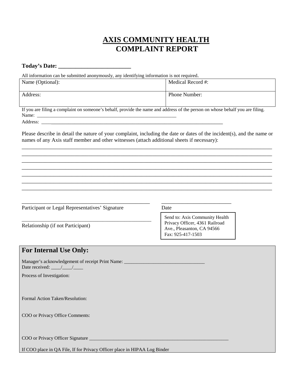# **AXIS COMMUNITY HEALTH COMPLAINT REPORT**

## **Today's Date: \_\_\_\_\_\_\_\_\_\_\_\_\_\_\_\_\_\_\_\_\_\_\_\_\_**

All information can be submitted anonymously, any identifying information is not required.

| ---- --------- -- -- -- -- -- -- - |                      |
|------------------------------------|----------------------|
| Name (Optional):                   | Medical Record #:    |
| Address:                           | <b>Phone Number:</b> |

If you are filing a complaint on someone's behalf, provide the name and address of the person on whose behalf you are filing. Name: \_\_\_\_\_\_\_\_\_\_\_\_\_\_\_\_\_\_\_\_\_\_\_\_\_\_\_\_\_\_\_\_\_\_\_\_\_\_\_\_\_\_\_\_\_\_\_\_\_\_\_\_\_\_\_\_\_ Address:

Please describe in detail the nature of your complaint, including the date or dates of the incident(s), and the name or names of any Axis staff member and other witnesses (attach additional sheets if necessary):

\_\_\_\_\_\_\_\_\_\_\_\_\_\_\_\_\_\_\_\_\_\_\_\_\_\_\_\_\_\_\_\_\_\_\_\_\_\_\_\_\_\_\_\_\_\_\_\_\_\_\_\_\_\_\_\_\_\_\_\_\_\_\_\_\_\_\_\_\_\_\_\_\_\_\_\_\_\_\_\_\_\_\_\_\_\_ \_\_\_\_\_\_\_\_\_\_\_\_\_\_\_\_\_\_\_\_\_\_\_\_\_\_\_\_\_\_\_\_\_\_\_\_\_\_\_\_\_\_\_\_\_\_\_\_\_\_\_\_\_\_\_\_\_\_\_\_\_\_\_\_\_\_\_\_\_\_\_\_\_\_\_\_\_\_\_\_\_\_\_\_\_\_ \_\_\_\_\_\_\_\_\_\_\_\_\_\_\_\_\_\_\_\_\_\_\_\_\_\_\_\_\_\_\_\_\_\_\_\_\_\_\_\_\_\_\_\_\_\_\_\_\_\_\_\_\_\_\_\_\_\_\_\_\_\_\_\_\_\_\_\_\_\_\_\_\_\_\_\_\_\_\_\_\_\_\_\_\_\_ \_\_\_\_\_\_\_\_\_\_\_\_\_\_\_\_\_\_\_\_\_\_\_\_\_\_\_\_\_\_\_\_\_\_\_\_\_\_\_\_\_\_\_\_\_\_\_\_\_\_\_\_\_\_\_\_\_\_\_\_\_\_\_\_\_\_\_\_\_\_\_\_\_\_\_\_\_\_\_\_\_\_\_\_\_\_ \_\_\_\_\_\_\_\_\_\_\_\_\_\_\_\_\_\_\_\_\_\_\_\_\_\_\_\_\_\_\_\_\_\_\_\_\_\_\_\_\_\_\_\_\_\_\_\_\_\_\_\_\_\_\_\_\_\_\_\_\_\_\_\_\_\_\_\_\_\_\_\_\_\_\_\_\_\_\_\_\_\_\_\_\_\_ \_\_\_\_\_\_\_\_\_\_\_\_\_\_\_\_\_\_\_\_\_\_\_\_\_\_\_\_\_\_\_\_\_\_\_\_\_\_\_\_\_\_\_\_\_\_\_\_\_\_\_\_\_\_\_\_\_\_\_\_\_\_\_\_\_\_\_\_\_\_\_\_\_\_\_\_\_\_\_\_\_\_\_\_\_\_ \_\_\_\_\_\_\_\_\_\_\_\_\_\_\_\_\_\_\_\_\_\_\_\_\_\_\_\_\_\_\_\_\_\_\_\_\_\_\_\_\_\_\_\_\_\_\_\_\_\_\_\_\_\_\_\_\_\_\_\_\_\_\_\_\_\_\_\_\_\_\_\_\_\_\_\_\_\_\_\_\_\_\_\_\_\_

\_\_\_\_\_\_\_\_\_\_\_\_\_\_\_\_\_\_\_\_\_\_\_\_\_\_\_\_\_\_\_\_\_\_\_\_\_\_\_\_\_\_\_\_ \_\_\_\_\_\_\_\_\_\_\_\_\_\_\_\_\_\_\_\_\_\_\_\_

Participant or Legal Representatives' Signature Date

\_\_\_\_\_\_\_\_\_\_\_\_\_\_\_\_\_\_\_\_\_\_\_\_\_\_\_\_\_\_\_\_\_\_\_\_\_\_\_\_\_\_\_\_\_\_\_\_\_\_\_\_\_ Relationship (if not Participant)

Send to: Axis Community Health Privacy Officer, 4361 Railroad Ave., Pleasanton, CA 94566 Fax: 925-417-1503

# **For Internal Use Only:**

Manager's acknowledgement of receipt Print Name: Date received:  $\frac{\sqrt{2}}{2}$ 

Process of Investigation:

Formal Action Taken/Resolution:

COO or Privacy Office Comments:

COO or Privacy Officer Signature

If COO place in QA File, If for Privacy Officer place in HIPAA Log Binder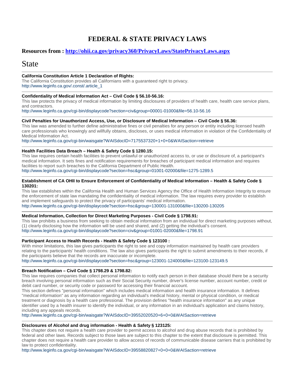# **FEDERAL & STATE PRIVACY LAWS**

## **Resources from :<http://ohii.ca.gov/privacy360/PrivacyLaws/StatePrivacyLaws.aspx>**

# State

#### **California Constitution Article 1 Declaration of Rights:**

The California Constitution provides all Californians with a guaranteed right to privacy. [http://www.leginfo.ca.gov/.const/.article\\_1](http://www.leginfo.ca.gov/.const/.article_1)

#### **Confidentiality of Medical Information Act – Civil Code § 56.10-56.16:**

This law protects the privacy of medical information by limiting disclosures of providers of health care, health care service plans, and contractors.

<http://www.leginfo.ca.gov/cgi-bin/displaycode?section=civ&group=00001-01000&file=56.10-56.16>

#### **Civil Penalties for Unauthorized Access, Use, or Disclosure of Medical Information – Civil Code § 56.36:**

This law was amended to further define administrative fines or civil penalties for any person or entity including licensed health care professionals who knowingly and willfully obtains, discloses, or uses medical information in violation of the Confidentiality of Medical Information Act.

<http://www.leginfo.ca.gov/cgi-bin/waisgate?WAISdocID=7175537320+1+0+0&WAISaction=retrieve>

#### **Health Facilities Data Breach – Health & Safety Code § 1280.15:**

This law requires certain health facilities to prevent unlawful or unauthorized access to, or use or disclosure of, a participant's medical information. It sets fines and notification requirements for breaches of participant medical information and requires facilities to report such breaches to the California Department of Public Health. <http://www.leginfo.ca.gov/cgi-bin/displaycode?section=hsc&group=01001-02000&file=1275-1289.5>

#### **Establishment of CA OHII to Ensure Enforcement of Confidentiality of Medical Information – Health & Safety Code § 130201:**

This law establishes within the California Health and Human Services Agency the Office of Health Information Integrity to ensure the enforcement of state law mandating the confidentiality of medical information. The law requires every provider to establish and implement safeguards to protect the privacy of participants' medical information. <http://www.leginfo.ca.gov/cgi-bin/displaycode?section=hsc&group=130001-131000&file=130200-130205>

#### **Medical Information, Collection for Direct Marketing Purposes - Civil Code § 1798.91:**

This law prohibits a business from seeking to obtain medical information from an individual for direct marketing purposes without, (1) clearly disclosing how the information will be used and shared, and (2) getting the individual's consent. <http://www.leginfo.ca.gov/cgi-bin/displaycode?section=civ&group=01001-02000&file=1798.91>

#### **Participant Access to Health Records - Health & Safety Code § 123100 :**

With minor limitations, this law gives participants the right to see and copy information maintained by health care providers relating to the participants' health conditions. The law also gives participants the right to submit amendments to their records, if the participants believe that the records are inaccurate or incomplete.

<http://www.leginfo.ca.gov/cgi-bin/displaycode?section=hsc&group=123001-124000&file=123100-123149.5>

#### **Breach Notification – Civil Code § 1798.29 & 1798.82:**

This law requires companies that collect personal information to notify each person in their database should there be a security breach involving personal information such as their Social Security number, driver's license number, account number, credit or debit card number, or security code or password for accessing their financial account.

This section defines "personal information" which includes medical information and health insurance information. It defines "medical information" as any information regarding an individual's medical history, mental or physical condition, or medical treatment or diagnosis by a health care professional. The provision defines "health insurance information" as any unique identifier used by a health insurer to identify the individual, or any information in an individual's application and claims history, including any appeals records.

<http://www.leginfo.ca.gov/cgi-bin/waisgate?WAISdocID=39552020520+6+0+0&WAISaction=retrieve>

#### **Disclosures of Alcohol and drug information - Health & Safety § 123125:**

This chapter does not require a health care provider to permit access to alcohol and drug abuse records that is prohibited by federal and other laws. Records subject to those laws are subject to this chapter to the extent that disclosure is permitted. This chapter does not require a health care provider to allow access of records of communicable disease carriers that is prohibited by law to protect confidentiality.

<http://www.leginfo.ca.gov/cgi-bin/waisgate?WAISdocID=39558820827+0+0+0&WAISaction=retrieve>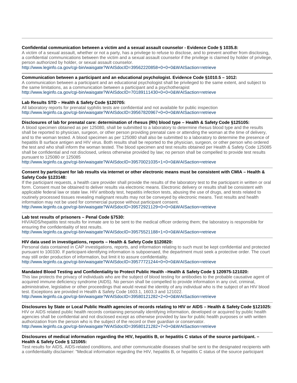#### **Confidential communication between a victim and a sexual assault counselor - Evidence Code § 1035.8:**

A victim of a sexual assault, whether or not a party, has a privilege to refuse to disclose, and to prevent another from disclosing, a confidential communications between the victim and a sexual assault counselor if the privilege is claimed by holder of privilege, person authorized by holder, or sexual assault counselor. <http://www.leginfo.ca.gov/cgi-bin/waisgate?WAISdocID=39562220858+0+0+0&WAISaction=retrieve>

#### **Communication between a participant and an educational psychologist. Evidence Code §1010.5 – 1012:**

A communication between a participant and an educational psychologist shall be privileged to the same extent, and subject to the same limitations, as a communication between a participant and a psychotherapist <http://www.leginfo.ca.gov/cgi-bin/waisgate?WAISdocID=70189111430+0+0+0&WAISaction=retrieve>

#### **Lab Results STD – Health & Safety Code §120705:**

All laboratory reports for prenatal syphilis tests are confidential and not available for public inspection <http://www.leginfo.ca.gov/cgi-bin/waisgate?WAISdocID=39567820967+0+0+0&WAISaction=retrieve>

#### **Disclosures of lab for prenatal care: determination of rhesus (Rh) blood type – Health & Safety Code §125105:**

A blood specimen obtained as per 125080, shall be submitted to a laboratory to determine rhesus blood type and the results shall be reported to physician, surgeon, or other person providing prenatal care or attending the woman at the time of delivery, and to the woman tested. A blood specimen as per 125080 shall also be submitted to a laboratory to determine the presence of hepatitis B surface antigen and HIV virus. Both results shall be reported to the physician, surgeon, or other person who ordered the test and who shall inform the woman tested. The blood specimen and test results obtained per Health & Safety Code 125085 shall be confidential and not disclosed, unless otherwise provided by law; no person shall be compelled to provide test results pursuant to 125080 or 125085

<http://www.leginfo.ca.gov/cgi-bin/waisgate?WAISdocID=39570021035+1+0+0&WAISaction=retrieve>

#### **Consent by participant for lab results via internet or other electronic means must be consistent with CMIA – Health & Safety Code §123148:**

If the participant requests, a health care provider shall provide the results of the laboratory test to the participant in written or oral form. Consent must be obtained to deliver results via electronic means. Electronic delivery or results shall be consistent with applicable federal law or state law. HIV antibody test, hepatitis infection tests, abusing the use of drugs, and tests related to routinely processed tissues revealing malignant results may not be conveyed by electronic means. Test results and health information may not be used for commercial purpose without participant consent.

<http://www.leginfo.ca.gov/cgi-bin/waisgate?WAISdocID=39572921129+0+0+0&WAISaction=retrieve>

#### **Lab test results of prisoners – Penal Code §7530:**

HIV/AIDS/hepatitis test results for inmate are to be sent to the medical officer ordering them; the laboratory is responsible for ensuring the confidentiality of test results.

<http://www.leginfo.ca.gov/cgi-bin/waisgate?WAISdocID=39575521188+1+0+0&WAISaction=retrieve>

#### **HIV data used in investigations, reports – Health & Safety Code §120820:**

Personal data contained in CAP investigations, reports, and information relating to such must be kept confidential and protected pursuant to 100330. If participant-identifying information is subpoenaed, the department must seek a protective order. The court may still order production of information, but limit it to assure confidentiality.

<http://www.leginfo.ca.gov/cgi-bin/waisgate?WAISdocID=39577721244+0+0+0&WAISaction=retrieve>

#### **Mandated Blood Testing and Confidentiality to Protect Public Health –Health & Safety Code § 120975-121020:**

This law protects the privacy of individuals who are the subject of blood testing for antibodies to the probable causative agent of acquired immune deficiency syndrome (AIDS). No person shall be compelled to provide information in any civil, criminal, administrative, legislative or other proceedings that would reveal the identity of any individual who is the subject of an HIV blood test. Exceptions are provided in Health & Safety Code 1603.1, 1603.3 and 121022. <http://www.leginfo.ca.gov/cgi-bin/waisgate?WAISdocID=39580121282+2+0+0&WAISaction=retrieve>

#### **Disclosures by State or Local Public Health agencies of records relating to HIV or AIDS – Health & Safety Code §121025:**

HIV or AIDS related public health records containing personally identifying information, developed or acquired by public health agencies shall be confidential and not disclosed except as otherwise provided by law for public health purposes or with written authorization from the person who is the subject of the record or their guardian or conservator. <http://www.leginfo.ca.gov/cgi-bin/waisgate?WAISdocID=39580121282+7+0+0&WAISaction=retrieve>

#### **Disclosures of medical information regarding the HIV, hepatitis B, or hepatitis C status of the source participant. – Health & Safety Code § 121065:**

Test results for AIDS, AIDS-related conditions, and other communicable diseases shall be sent to the designated recipients with a confidentiality disclaimer: "Medical information regarding the HIV, hepatitis B, or hepatitis C status of the source participant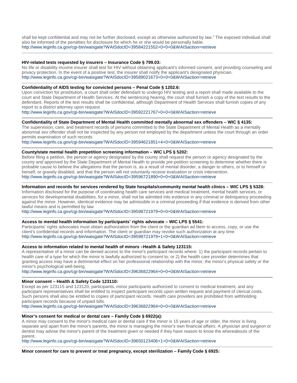shall be kept confidential and may not be further disclosed, except as otherwise authorized by law." The exposed individual shall also be informed of the penalties for disclosure for which he or she would be personally liable. <http://www.leginfo.ca.gov/cgi-bin/waisgate?WAISdocID=39584221552+0+0+0&WAISaction=retrieve>

#### **HIV-related tests requested by insurers – Insurance Code § 799.03:**

No life or disability income insurer shall test for HIV without obtaining applicant's informed consent, and providing counseling and privacy protection. In the event of a positive test, the insurer shall notify the applicant's designated physician. <http://www.leginfo.ca.gov/cgi-bin/waisgate?WAISdocID=39589021673+0+0+0&WAISaction=retrieve>

#### **Confidentiality of AIDS testing for convicted persons – Penal Code § 1202.6:**

Upon conviction for prostitution, a court shall order defendant to undergo HIV testing and a report shall made available to the court and State Department of Health Services. At the sentencing hearing, the court shall furnish a copy of the test results to the defendant. Reports of the test results shall be confidential, although Department of Health Services shall furnish copies of any report to a district attorney upon request.

<http://www.leginfo.ca.gov/cgi-bin/waisgate?WAISdocID=39592221767+0+0+0&WAISaction=retrieve>

#### **Confidentiality of State Department of Mental Health committed mentally abnormal sex offenders – WIC § 4135:**

The supervision, care, and treatment records of persons committed to the State Department of Mental Health as a mentally abnormal sex offender shall not be inspected by any person not employed by the department unless the court through an order permits examination of such records

<http://www.leginfo.ca.gov/cgi-bin/waisgate?WAISdocID=39594621851+4+0+0&WAISaction=retrieve>

#### **County/state mental health prepetition screening information – WIC LPS § 5202:**

Before filing a petition, the person or agency designated by the county shall request the person or agency designated by the county and approved by the State Department of Mental Health to provide pre-petition screening to determine whether there is probable cause to believe the allegations that the person is, as a result of mental disorder, a danger to others, or to himself or herself, or gravely disabled, and that the person will not voluntarily receive evaluation or crisis intervention. <http://www.leginfo.ca.gov/cgi-bin/waisgate?WAISdocID=39596721890+0+0+0&WAISaction=retrieve>

#### **Information and records for services rendered by State hospitals/community mental health clinics – WIC LPS § 5328:**

Information disclosed for the purpose of coordinating health care services and medical treatment, mental health services, or services for developmental disabilities, for a minor, shall not be admitted into evidence in any criminal or delinquency proceeding against the minor. However, identical evidence may be admissible in a criminal proceeding if that evidence is derived from other lawful means and is permitted by law.

<http://www.leginfo.ca.gov/cgi-bin/waisgate?WAISdocID=39598721979+0+0+0&WAISaction=retrieve>

#### **Access to mental health information by participants' rights advocate – WIC LPS § 5541:**

Participants' rights advocates must obtain authorization from the client or the guardian ad litem to access, copy, or use the client's confidential records and information. The client or guardian may revoke such authorization at any time <http://www.leginfo.ca.gov/cgi-bin/waisgate?WAISdocID=39598721979+1+0+0&WAISaction=retrieve>

#### **Access to information related to mental health of minors –Health & Safety 123115:**

A representative of a minor can be denied access to the minor's participant records where: 1) the participant records pertain to health care of a type for which the minor is lawfully authorized to consent to; or 2) the health care provider determines that granting access may have a detrimental effect on her professional relationship with the minor, the minor's physical safety or the minor's psychological well-being.

<http://www.leginfo.ca.gov/cgi-bin/waisgate?WAISdocID=39636822964+0+0+0&WAISaction=retrieve>

#### **Minor consent – Health & Safety Code 123110:**

Except as per 123115 and 123120, participants, minor participants authorized to consent to medical treatment, and any participant representatives shall be entitled to inspect participant records upon written request and payment of clerical costs. Such persons shall also be entitled to copies of participant records. Health care providers are prohibited from withholding participant records because of unpaid bills.

<http://www.leginfo.ca.gov/cgi-bin/waisgate?WAISdocID=39636822964+0+0+0&WAISaction=retrieve>

#### **Minor's consent for medical or dental care – Family Code § 6922(a):**

A minor may consent to the minor's medical care or dental care if the minor is 15 years of age or older, the minor is living separate and apart from the minor's parents, the minor is managing the minor's own financial affairs. A physician and surgeon or dentist may advise the minor's parent of the treatment given or needed if they have reason to know the whereabouts of the parent.

<http://www.leginfo.ca.gov/cgi-bin/waisgate?WAISdocID=39650123406+1+0+0&WAISaction=retrieve>

**Minor consent for care to prevent or treat pregnancy, except sterilization – Family Code § 6925:**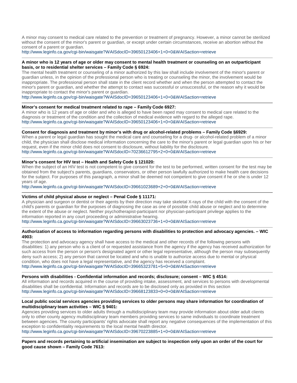A minor may consent to medical care related to the prevention or treatment of pregnancy. However, a minor cannot be sterilized without the consent of the minor's parent or guardian, or except under certain circumstances, receive an abortion without the consent of a parent or guardian.

<http://www.leginfo.ca.gov/cgi-bin/waisgate?WAISdocID=39650123406+1+0+0&WAISaction=retrieve>

#### **A minor who is 12 years of age or older may consent to mental health treatment or counseling on an outparticipant basis, or to residential shelter services – Family Code § 6924:**

The mental health treatment or counseling of a minor authorized by this law shall include involvement of the minor's parent or guardian unless, in the opinion of the professional person who is treating or counseling the minor, the involvement would be inappropriate. The professional person shall state in the client record whether and when the person attempted to contact the minor's parent or guardian, and whether the attempt to contact was successful or unsuccessful, or the reason why it would be inappropriate to contact the minor's parent or guardian.

<http://www.leginfo.ca.gov/cgi-bin/waisgate?WAISdocID=39650123406+1+0+0&WAISaction=retrieve>

#### **Minor's consent for medical treatment related to rape – Family Code 6927:**

A minor who is 12 years of age or older and who is alleged to have been raped may consent to medical care related to the diagnosis or treatment of the condition and the collection of medical evidence with regard to the alleged rape. <http://www.leginfo.ca.gov/cgi-bin/waisgate?WAISdocID=39650123406+1+0+0&WAISaction=retrieve>

#### **Consent for diagnosis and treatment by minor's with drug or alcohol-related problems – Family Code §6929:**

When a parent or legal guardian has sought the medical care and counseling for a drug- or alcohol-related problem of a minor child, the physician shall disclose medical information concerning the care to the minor's parent or legal guardian upon his or her request, even if the minor child does not consent to disclosure, without liability for the disclosure. <http://www.leginfo.ca.gov/cgi-bin/waisgate?WAISdocID=70236612795+2+0+0&WAISaction=retrieve>

#### **Minor's consent for HIV test – Health and Safety Code § 121020:**

When the subject of an HIV test is not competent to give consent for the test to be performed, written consent for the test may be obtained from the subject's parents, guardians, conservators, or other person lawfully authorized to make health care decisions for the subject. For purposes of this paragraph, a minor shall be deemed not competent to give consent if he or she is under 12 years of age.

<http://www.leginfo.ca.gov/cgi-bin/waisgate?WAISdocID=39661023689+2+0+0&WAISaction=retrieve>

#### **Victims of child physical abuse or neglect – Penal Code § 11171:**

A physician and surgeon or dentist or their agents by their direction may take skeletal X-rays of the child with the consent of the child's parents or guardian for the purposes of diagnosing the case as one of possible child abuse or neglect and to determine the extent of the abuse or neglect. Neither psychotherapist-participant nor physician-participant privilege applies to the information reported in any court proceeding or administrative hearing.

<http://www.leginfo.ca.gov/cgi-bin/waisgate?WAISdocID=39663023736+1+0+0&WAISaction=retrieve>

#### **Authorization of access to information regarding persons with disabilities to protection and advocacy agencies. – WIC 4903:**

The protection and advocacy agency shall have access to the medical and other records of the following persons with disabilities: 1) any person who is a client of or requested assistance from the agency if the agency has received authorization for such access from the person or person's designated agent or other legal representative, although the person may subsequently deny such access; 2) any person that cannot be located and who is unable to authorize access due to mental or physical condition, who does not have a legal representative, and the agency has received a complaint. <http://www.leginfo.ca.gov/cgi-bin/waisgate?WAISdocID=39665323781+5+0+0&WAISaction=retrieve>

#### **Persons with disabilities - Confidential information and records; disclosure; consent – WIC § 4514:**

All information and records acquired in the course of providing intake, assessment, and services to persons with developmental disabilities shall be confidential. Information and records are to be disclosed only as provided in this section <http://www.leginfo.ca.gov/cgi-bin/waisgate?WAISdocID=39668123833+0+0+0&WAISaction=retrieve>

#### **Local public social services agencies providing services to older persons may share information for coordination of multidisciplinary team activities – WIC § 9401:**

Agencies providing services to older adults through a multidisciplinary team may provide information about older adult clients only to other county agency multidisciplinary team members providing services to same individuals to coordinate treatment between agencies. The county participants' rights advocate shall report any negative consequences of the implementation of this exception to confidentiality requirements to the local mental health director.

<http://www.leginfo.ca.gov/cgi-bin/waisgate?WAISdocID=39670223885+1+0+0&WAISaction=retrieve>

**Papers and records pertaining to artificial insemination are subject to inspection only upon an order of the court for good cause shown – Family Code 7613:**